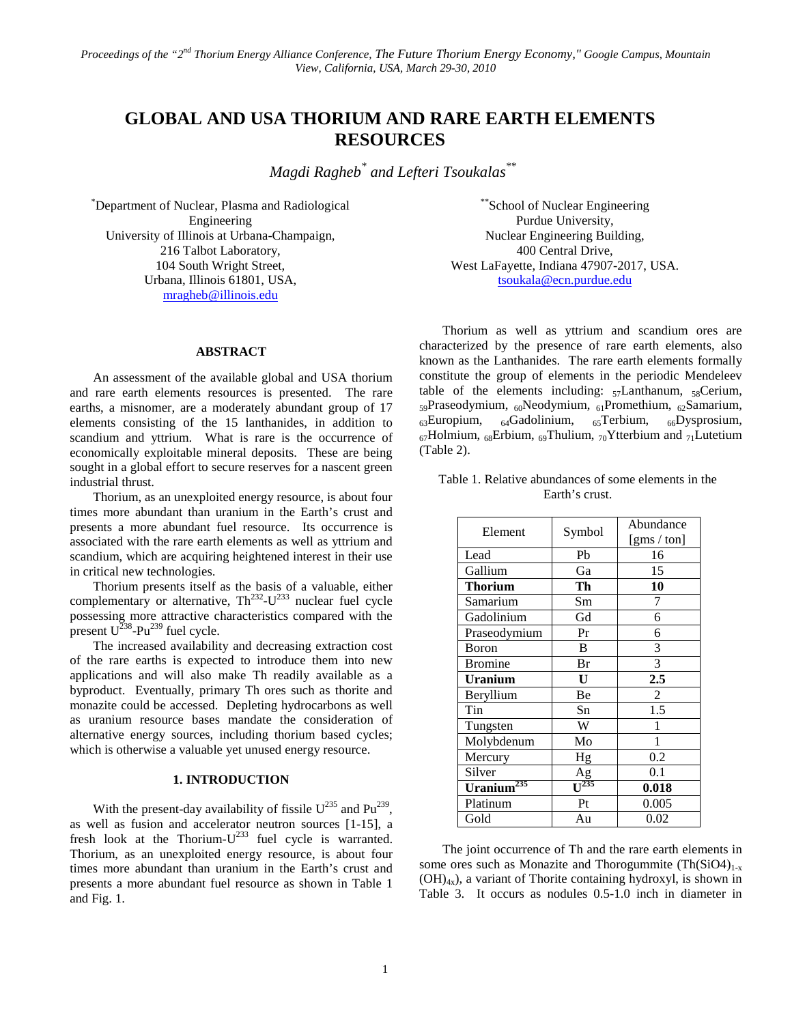# **GLOBAL AND USA THORIUM AND RARE EARTH ELEMENTS RESOURCES**

*Magdi Ragheb\* and Lefteri Tsoukalas\*\**

\* Department of Nuclear, Plasma and Radiological Engineering University of Illinois at Urbana-Champaign, 216 Talbot Laboratory, 104 South Wright Street, Urbana, Illinois 61801, USA, [mragheb@illinois.edu](mailto:mragheb@illinois.edu)

#### **ABSTRACT**

An assessment of the available global and USA thorium and rare earth elements resources is presented. The rare earths, a misnomer, are a moderately abundant group of 17 elements consisting of the 15 lanthanides, in addition to scandium and yttrium. What is rare is the occurrence of economically exploitable mineral deposits. These are being sought in a global effort to secure reserves for a nascent green industrial thrust.

Thorium, as an unexploited energy resource, is about four times more abundant than uranium in the Earth's crust and presents a more abundant fuel resource. Its occurrence is associated with the rare earth elements as well as yttrium and scandium, which are acquiring heightened interest in their use in critical new technologies.

Thorium presents itself as the basis of a valuable, either complementary or alternative,  $Th<sup>232</sup>-U<sup>233</sup>$  nuclear fuel cycle possessing more attractive characteristics compared with the present  $U^{238}$ -Pu<sup>239</sup> fuel cycle.

The increased availability and decreasing extraction cost of the rare earths is expected to introduce them into new applications and will also make Th readily available as a byproduct. Eventually, primary Th ores such as thorite and monazite could be accessed. Depleting hydrocarbons as well as uranium resource bases mandate the consideration of alternative energy sources, including thorium based cycles; which is otherwise a valuable yet unused energy resource.

#### **1. INTRODUCTION**

With the present-day availability of fissile  $U^{235}$  and  $Pu^{239}$ , as well as fusion and accelerator neutron sources [1-15], a fresh look at the Thorium- $U^{233}$  fuel cycle is warranted. Thorium, as an unexploited energy resource, is about four times more abundant than uranium in the Earth's crust and presents a more abundant fuel resource as shown in Table 1 and Fig. 1.

\*\*School of Nuclear Engineering Purdue University, Nuclear Engineering Building, 400 Central Drive, West LaFayette, Indiana 47907-2017, USA. [tsoukala@ecn.purdue.edu](mailto:tsoukala@ecn.purdue.edu)

Thorium as well as yttrium and scandium ores are characterized by the presence of rare earth elements, also known as the Lanthanides. The rare earth elements formally constitute the group of elements in the periodic Mendeleev table of the elements including:  $57$ Lanthanum,  $58$ Cerium,  $_{59}$ Praseodymium,  $_{60}$ Neodymium,  $_{61}$ Promethium,  $_{62}$ Samarium,  $_{63}$ Europium,  $_{64}$ Gadolinium,  $_{65}$ Terbium,  $_{66}$ Dysprosium,  $_{67}$ Holmium,  $_{68}$ Erbium,  $_{69}$ Thulium,  $_{70}$ Ytterbium and  $_{71}$ Lutetium (Table 2).

| Table 1. Relative abundances of some elements in the |  |
|------------------------------------------------------|--|
| Earth's crust.                                       |  |

|                        |         | Abundance   |
|------------------------|---------|-------------|
| Element                | Symbol  | [gms / ton] |
| Lead                   | Pb      | 16          |
| Gallium                | Ga      | 15          |
| <b>Thorium</b>         | Th      | 10          |
| Samarium               | Sm      | 7           |
| Gadolinium             | Gd      | 6           |
| Praseodymium           | Pr      | 6           |
| Boron                  | B       | 3           |
| <b>Bromine</b>         | Br      | 3           |
| <b>Uranium</b>         | U       | 2.5         |
| Beryllium              | Be      | 2           |
| Tin                    | Sn      | 1.5         |
| Tungsten               | W       | 1           |
| Molybdenum             | Mo      | 1           |
| Mercury                | Hg      | 0.2         |
| Silver                 | Ag      | 0.1         |
| Uranium <sup>235</sup> | $-1235$ | 0.018       |
| Platinum               | Pt      | 0.005       |
| Gold                   | Au      | 0.02        |

The joint occurrence of Th and the rare earth elements in some ores such as Monazite and Thorogummite  $(Th(SiO4))_{1-x}$  $(OH)_{4x}$ , a variant of Thorite containing hydroxyl, is shown in Table 3. It occurs as nodules 0.5-1.0 inch in diameter in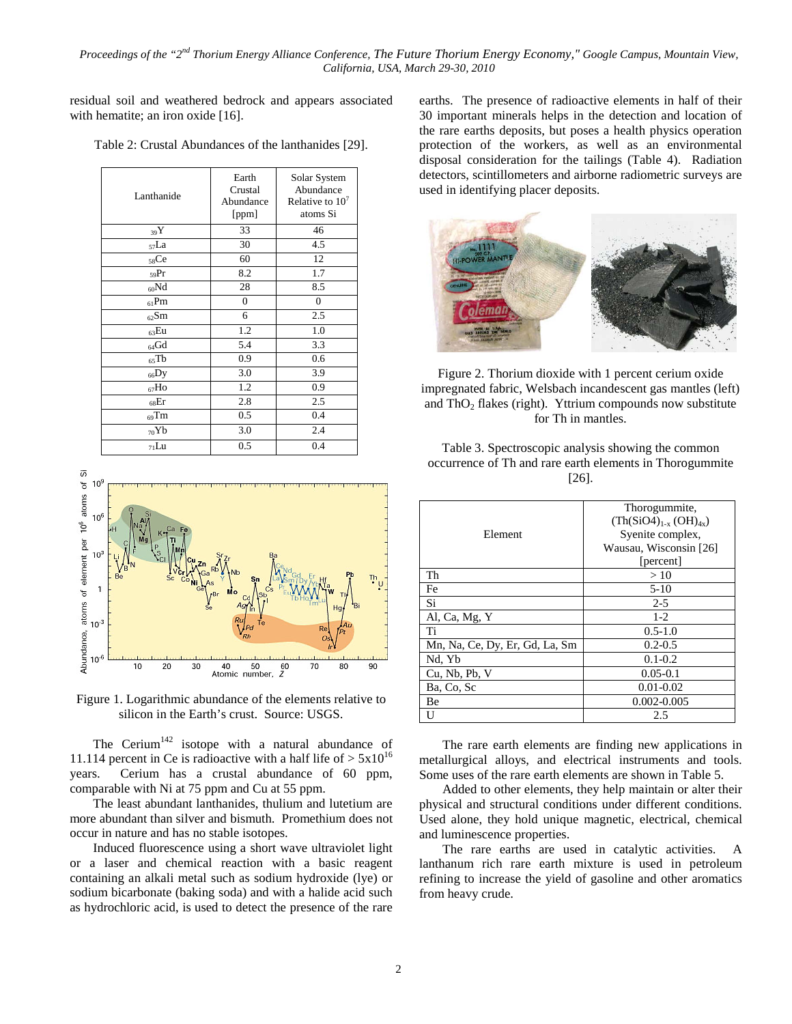residual soil and weathered bedrock and appears associated with hematite; an iron oxide [16].

| Lanthanide | Earth<br>Crustal<br>Abundance<br>[ppm] | Solar System<br>Abundance<br>Relative to $107$<br>atoms Si |
|------------|----------------------------------------|------------------------------------------------------------|
| 39Y        | 33                                     | 46                                                         |
| $57$ La    | 30                                     | 4.5                                                        |
| $58$ Ce    | 60                                     | 12                                                         |
| $59$ Pr    | 8.2                                    | 1.7                                                        |
| $_{60}Nd$  | 28                                     | 8.5                                                        |
| $61$ Pm    | $\overline{0}$                         | $\overline{0}$                                             |
| $62$ Sm    | 6                                      | 2.5                                                        |
| $63$ Eu    | 1.2                                    | 1.0                                                        |
| $_{64}$ Gd | 5.4                                    | 3.3                                                        |
| $65$ Tb    | 0.9                                    | 0.6                                                        |
| $_{66}$ Dy | 3.0                                    | 3.9                                                        |
| $_{67}$ Ho | 1.2                                    | 0.9                                                        |
| $68$ Er    | 2.8                                    | 2.5                                                        |
| $_{69}$ Tm | 0.5                                    | 0.4                                                        |
| $_{70}Yb$  | 3.0                                    | 2.4                                                        |
| $71$ Lu    | 0.5                                    | 0.4                                                        |

Table 2: Crustal Abundances of the lanthanides [29].



Figure 1. Logarithmic abundance of the elements relative to silicon in the Earth's crust. Source: USGS.

The Cerium<sup>142</sup> isotope with a natural abundance of 11.114 percent in Ce is radioactive with a half life of  $> 5x10^{16}$ years. Cerium has a crustal abundance of 60 ppm, comparable with Ni at 75 ppm and Cu at 55 ppm.

The least abundant lanthanides, thulium and lutetium are more abundant than silver and bismuth. Promethium does not occur in nature and has no stable isotopes.

Induced fluorescence using a short wave ultraviolet light or a laser and chemical reaction with a basic reagent containing an alkali metal such as sodium hydroxide (lye) or sodium bicarbonate (baking soda) and with a halide acid such as hydrochloric acid, is used to detect the presence of the rare

earths. The presence of radioactive elements in half of their 30 important minerals helps in the detection and location of the rare earths deposits, but poses a health physics operation protection of the workers, as well as an environmental disposal consideration for the tailings (Table 4). Radiation detectors, scintillometers and airborne radiometric surveys are used in identifying placer deposits.



Figure 2. Thorium dioxide with 1 percent cerium oxide impregnated fabric, Welsbach incandescent gas mantles (left) and  $ThO<sub>2</sub>$  flakes (right). Yttrium compounds now substitute for Th in mantles.

Table 3. Spectroscopic analysis showing the common occurrence of Th and rare earth elements in Thorogummite [26].

|                                | Thorogummite,                |
|--------------------------------|------------------------------|
|                                | $(Th(SiO4)_{1-x} (OH)_{4x})$ |
| Element                        | Syenite complex,             |
|                                | Wausau, Wisconsin [26]       |
|                                | [percent]                    |
| Th                             | >10                          |
| Fe                             | $5-10$                       |
| Si                             | $2 - 5$                      |
| Al, Ca, Mg, Y                  | $1 - 2$                      |
| Ti                             | $0.5 - 1.0$                  |
| Mn, Na, Ce, Dy, Er, Gd, La, Sm | $0.2 - 0.5$                  |
| Nd. Yb                         | $0.1 - 0.2$                  |
| Cu, Nb, Pb, V                  | $0.05 - 0.1$                 |
| Ba, Co, Sc                     | $0.01 - 0.02$                |
| Be                             | 0.002-0.005                  |
| U                              | 2.5                          |

The rare earth elements are finding new applications in metallurgical alloys, and electrical instruments and tools. Some uses of the rare earth elements are shown in Table 5.

Added to other elements, they help maintain or alter their physical and structural conditions under different conditions. Used alone, they hold unique magnetic, electrical, chemical and luminescence properties.

The rare earths are used in catalytic activities. A lanthanum rich rare earth mixture is used in petroleum refining to increase the yield of gasoline and other aromatics from heavy crude.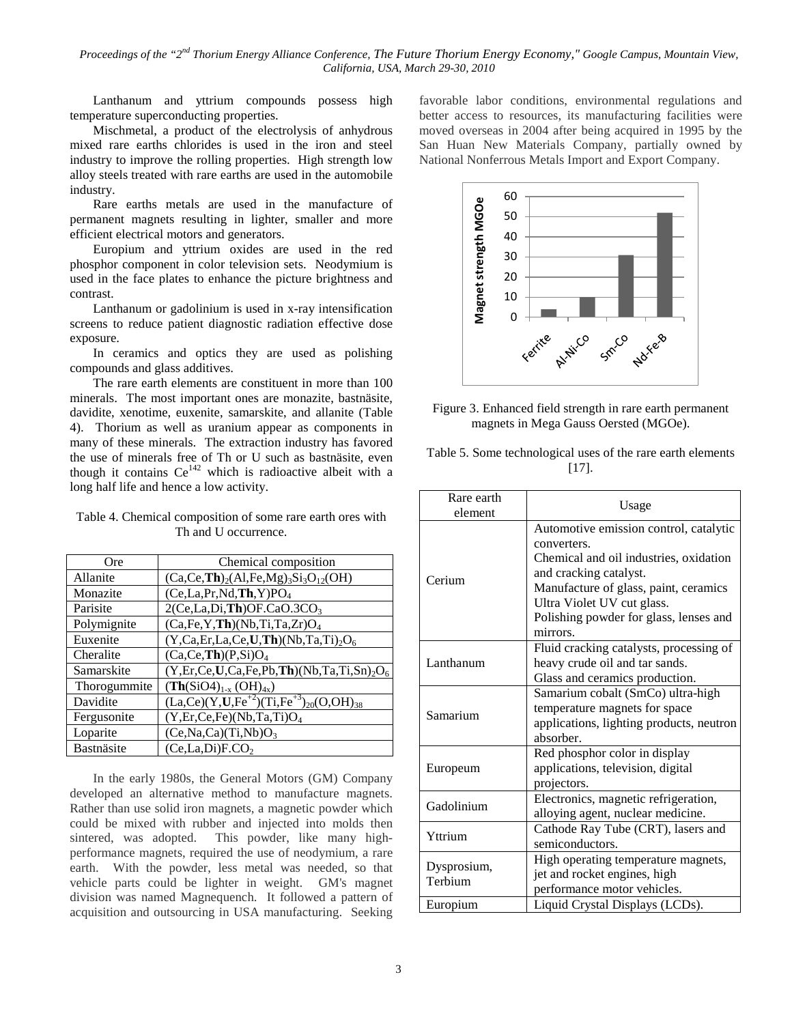Lanthanum and yttrium compounds possess high temperature superconducting properties.

Mischmetal, a product of the electrolysis of anhydrous mixed rare earths chlorides is used in the iron and steel industry to improve the rolling properties. High strength low alloy steels treated with rare earths are used in the automobile industry.

Rare earths metals are used in the manufacture of permanent magnets resulting in lighter, smaller and more efficient electrical motors and generators.

Europium and yttrium oxides are used in the red phosphor component in color television sets. Neodymium is used in the face plates to enhance the picture brightness and contrast.

Lanthanum or gadolinium is used in x-ray intensification screens to reduce patient diagnostic radiation effective dose exposure.

In ceramics and optics they are used as polishing compounds and glass additives.

The rare earth elements are constituent in more than 100 minerals. The most important ones are monazite, bastnäsite, davidite, xenotime, euxenite, samarskite, and allanite (Table 4). Thorium as well as uranium appear as components in many of these minerals. The extraction industry has favored the use of minerals free of Th or U such as bastnäsite, even though it contains  $Ce^{142}$  which is radioactive albeit with a long half life and hence a low activity.

| Table 4. Chemical composition of some rare earth ores with |  |
|------------------------------------------------------------|--|
| Th and U occurrence.                                       |  |

| Ore          | Chemical composition                                     |
|--------------|----------------------------------------------------------|
| Allanite     | $(Ca, Ce, Th)2(Al, Fe, Mg)3Si3O12(OH)$                   |
| Monazite     | (Ce, La, Pr, Nd, Th, Y)PO <sub>4</sub>                   |
| Parisite     | $2(Ce, La, Di, Th)$ OF.CaO.3CO <sub>3</sub>              |
| Polymignite  | $(Ca, Fe, Y, Th)$ (Nb,Ti,Ta,Zr) $O_4$                    |
| Euxenite     | $(Y, Ca, Er, La, Ce, U, Th) (Nb, Ta, Ti)2O6$             |
| Cheralite    | (Ca, Ce, Th)(P,Si)O <sub>4</sub>                         |
| Samarskite   | $(Y, Er, Ce, U, Ca, Fe, Pb, Th) (Nb, Ta, Ti, Sn)2O6$     |
| Thorogummite | $(Th(SiO4)_{1-x} (OH)_{4x})$                             |
| Davidite     | $(La, Ce)(Y, U, Fe^{+2})(Ti, Fe^{+3})_{20}(O, OH)_{38})$ |
| Fergusonite  | $(Y, Er, Ce, Fe)$ (Nb,Ta,Ti) $O_4$                       |
| Loparite     | (Ce, Na, Ca)(Ti, Nb)O <sub>3</sub>                       |
| Bastnäsite   | (Ce, La, Di)F. CO <sub>2</sub>                           |

In the early 1980s, the General Motors (GM) Company developed an alternative method to manufacture magnets. Rather than use solid iron magnets, a magnetic powder which could be mixed with rubber and injected into molds then sintered, was adopted. This powder, like many highperformance magnets, required the use of neodymium, a rare earth. With the powder, less metal was needed, so that vehicle parts could be lighter in weight. GM's magnet division was named Magnequench. It followed a pattern of acquisition and outsourcing in USA manufacturing. Seeking

favorable labor conditions, environmental regulations and better access to resources, its manufacturing facilities were moved overseas in 2004 after being acquired in 1995 by the San Huan New Materials Company, partially owned by National Nonferrous Metals Import and Export Company.





Table 5. Some technological uses of the rare earth elements [17].

| Rare earth<br>element  | Usage                                                                                                                                                                                                                                                  |
|------------------------|--------------------------------------------------------------------------------------------------------------------------------------------------------------------------------------------------------------------------------------------------------|
| Cerium                 | Automotive emission control, catalytic<br>converters.<br>Chemical and oil industries, oxidation<br>and cracking catalyst.<br>Manufacture of glass, paint, ceramics<br>Ultra Violet UV cut glass.<br>Polishing powder for glass, lenses and<br>mirrors. |
| Lanthanum              | Fluid cracking catalysts, processing of<br>heavy crude oil and tar sands.<br>Glass and ceramics production.                                                                                                                                            |
| Samarium               | Samarium cobalt (SmCo) ultra-high<br>temperature magnets for space<br>applications, lighting products, neutron<br>absorber.                                                                                                                            |
| Europeum               | Red phosphor color in display<br>applications, television, digital<br>projectors.                                                                                                                                                                      |
| Gadolinium             | Electronics, magnetic refrigeration,<br>alloying agent, nuclear medicine.                                                                                                                                                                              |
| Yttrium                | Cathode Ray Tube (CRT), lasers and<br>semiconductors.                                                                                                                                                                                                  |
| Dysprosium,<br>Terbium | High operating temperature magnets,<br>jet and rocket engines, high<br>performance motor vehicles.                                                                                                                                                     |
| Europium               | Liquid Crystal Displays (LCDs).                                                                                                                                                                                                                        |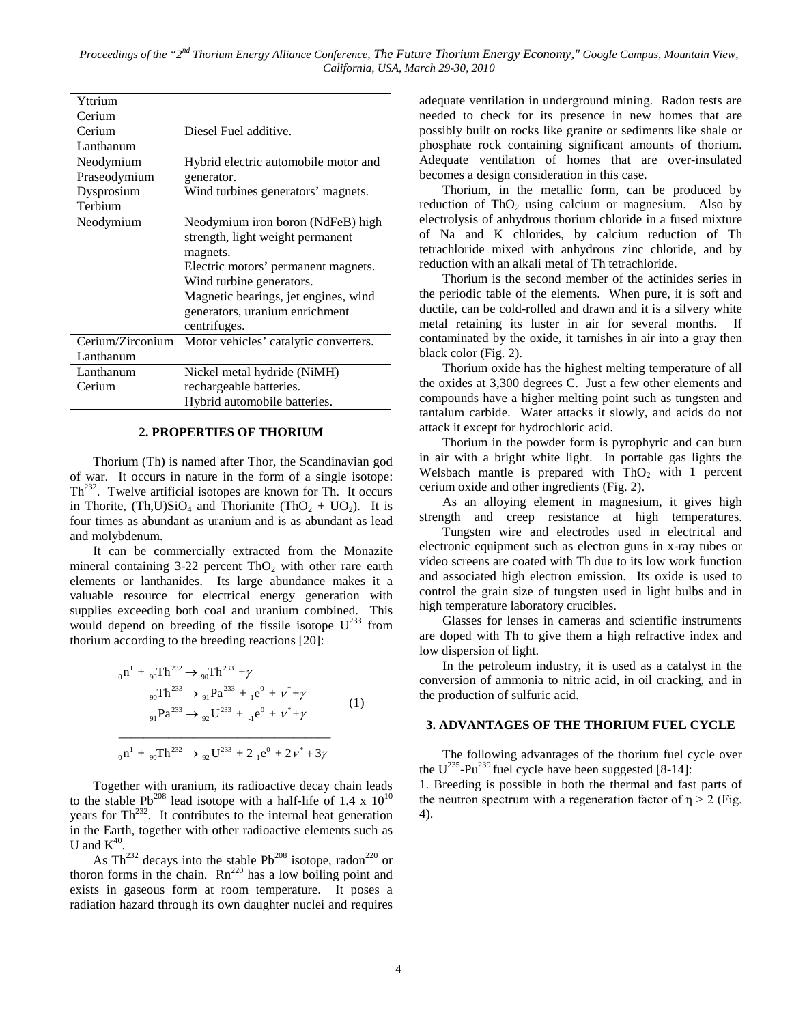| Yttrium          |                                       |
|------------------|---------------------------------------|
| Cerium           |                                       |
| Cerium           | Diesel Fuel additive.                 |
| Lanthanum        |                                       |
| Neodymium        | Hybrid electric automobile motor and  |
| Praseodymium     | generator.                            |
| Dysprosium       | Wind turbines generators' magnets.    |
| Terbium          |                                       |
| Neodymium        | Neodymium iron boron (NdFeB) high     |
|                  | strength, light weight permanent      |
|                  | magnets.                              |
|                  | Electric motors' permanent magnets.   |
|                  | Wind turbine generators.              |
|                  | Magnetic bearings, jet engines, wind  |
|                  | generators, uranium enrichment        |
|                  | centrifuges.                          |
| Cerium/Zirconium | Motor vehicles' catalytic converters. |
| Lanthanum        |                                       |
| Lanthanum        | Nickel metal hydride (NiMH)           |
| Cerium           | rechargeable batteries.               |
|                  | Hybrid automobile batteries.          |

#### **2. PROPERTIES OF THORIUM**

Thorium (Th) is named after Thor, the Scandinavian god of war. It occurs in nature in the form of a single isotope:  $Th<sup>232</sup>$ . Twelve artificial isotopes are known for Th. It occurs in Thorite,  $(Th, U)SiO_4$  and Thorianite  $(ThO_2 + UO_2)$ . It is four times as abundant as uranium and is as abundant as lead and molybdenum.

It can be commercially extracted from the Monazite mineral containing  $3-22$  percent ThO<sub>2</sub> with other rare earth elements or lanthanides. Its large abundance makes it a valuable resource for electrical energy generation with supplies exceeding both coal and uranium combined. This would depend on breeding of the fissile isotope  $U^{233}$  from thorium according to the breeding reactions [20]:

$$
{}_{0}n^{1} + {}_{90}Th^{232} \rightarrow {}_{90}Th^{233} + \gamma
$$
  
\n
$$
{}_{90}Th^{233} \rightarrow {}_{91}Pa^{233} + {}_{1}e^{0} + \nu^{*} + \gamma
$$
  
\n
$$
{}_{91}Pa^{233} \rightarrow {}_{92}U^{233} + {}_{1}e^{0} + \nu^{*} + \gamma
$$
\n(1)  
\n
$$
{}_{0}n^{1} + {}_{90}Th^{232} \rightarrow {}_{92}U^{233} + 2 {}_{1}e^{0} + 2\nu^{*} + 3\gamma
$$

Together with uranium, its radioactive decay chain leads to the stable Pb<sup>208</sup> lead isotope with a half-life of 1.4 x  $10^{10}$ years for  $\text{Th}^{232}$ . It contributes to the internal heat generation in the Earth, together with other radioactive elements such as U and  $K^{40}$ .

As Th<sup>232</sup> decays into the stable Pb<sup>208</sup> isotope, radon<sup>220</sup> or thoron forms in the chain.  $Rn^{220}$  has a low boiling point and exists in gaseous form at room temperature. It poses a radiation hazard through its own daughter nuclei and requires

adequate ventilation in underground mining. Radon tests are needed to check for its presence in new homes that are possibly built on rocks like granite or sediments like shale or phosphate rock containing significant amounts of thorium. Adequate ventilation of homes that are over-insulated becomes a design consideration in this case.

Thorium, in the metallic form, can be produced by reduction of ThO<sub>2</sub> using calcium or magnesium. Also by electrolysis of anhydrous thorium chloride in a fused mixture of Na and K chlorides, by calcium reduction of Th tetrachloride mixed with anhydrous zinc chloride, and by reduction with an alkali metal of Th tetrachloride.

Thorium is the second member of the actinides series in the periodic table of the elements. When pure, it is soft and ductile, can be cold-rolled and drawn and it is a silvery white metal retaining its luster in air for several months. If contaminated by the oxide, it tarnishes in air into a gray then black color (Fig. 2).

Thorium oxide has the highest melting temperature of all the oxides at 3,300 degrees C. Just a few other elements and compounds have a higher melting point such as tungsten and tantalum carbide. Water attacks it slowly, and acids do not attack it except for hydrochloric acid.

Thorium in the powder form is pyrophyric and can burn in air with a bright white light. In portable gas lights the Welsbach mantle is prepared with  $ThO<sub>2</sub>$  with 1 percent cerium oxide and other ingredients (Fig. 2).

As an alloying element in magnesium, it gives high strength and creep resistance at high temperatures.

Tungsten wire and electrodes used in electrical and electronic equipment such as electron guns in x-ray tubes or video screens are coated with Th due to its low work function and associated high electron emission. Its oxide is used to control the grain size of tungsten used in light bulbs and in high temperature laboratory crucibles.

Glasses for lenses in cameras and scientific instruments are doped with Th to give them a high refractive index and low dispersion of light.

In the petroleum industry, it is used as a catalyst in the conversion of ammonia to nitric acid, in oil cracking, and in the production of sulfuric acid.

## **3. ADVANTAGES OF THE THORIUM FUEL CYCLE**

The following advantages of the thorium fuel cycle over the  $U^{235}$ -Pu<sup>239</sup> fuel cycle have been suggested [8-14]: 1. Breeding is possible in both the thermal and fast parts of the neutron spectrum with a regeneration factor of  $\eta > 2$  (Fig. 4).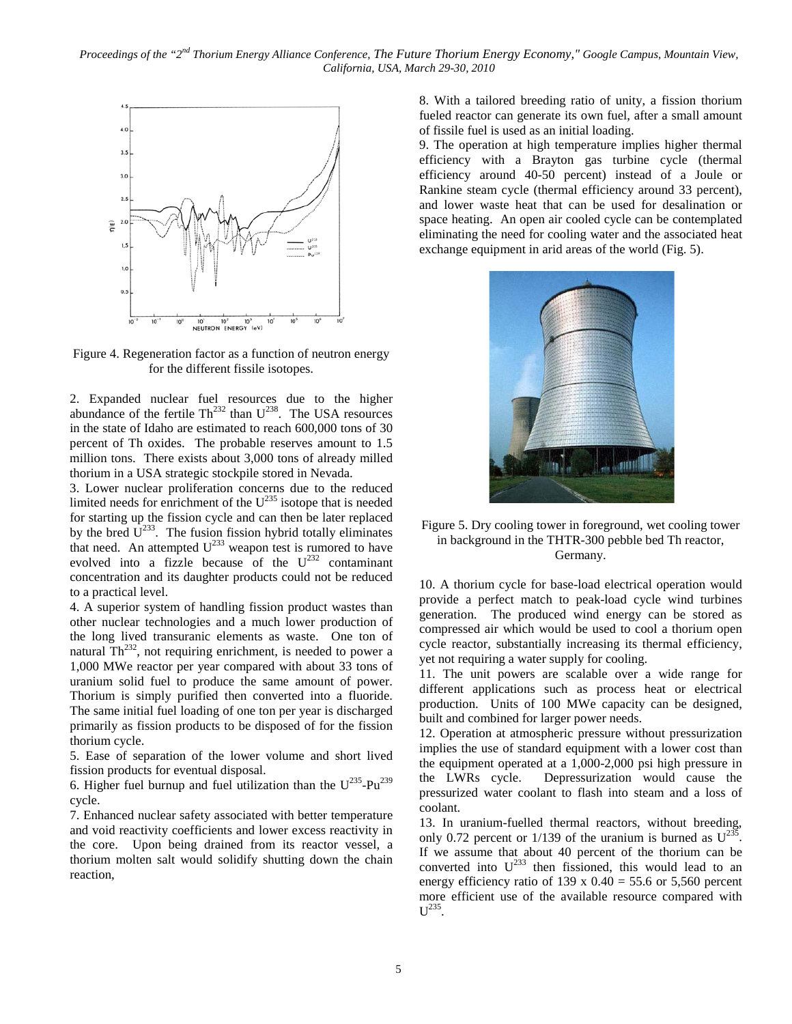

Figure 4. Regeneration factor as a function of neutron energy for the different fissile isotopes.

2. Expanded nuclear fuel resources due to the higher abundance of the fertile  $Th<sup>232</sup>$  than  $U<sup>238</sup>$ . The USA resources in the state of Idaho are estimated to reach 600,000 tons of 30 percent of Th oxides. The probable reserves amount to 1.5 million tons. There exists about 3,000 tons of already milled thorium in a USA strategic stockpile stored in Nevada.

3. Lower nuclear proliferation concerns due to the reduced limited needs for enrichment of the  $U^{235}$  isotope that is needed for starting up the fission cycle and can then be later replaced by the bred  $U^{233}$ . The fusion fission hybrid totally eliminates that need. An attempted  $U^{233}$  weapon test is rumored to have evolved into a fizzle because of the  $U^{232}$  contaminant concentration and its daughter products could not be reduced to a practical level.

4. A superior system of handling fission product wastes than other nuclear technologies and a much lower production of the long lived transuranic elements as waste. One ton of natural  $\text{Th}^{232}$ , not requiring enrichment, is needed to power a 1,000 MWe reactor per year compared with about 33 tons of uranium solid fuel to produce the same amount of power. Thorium is simply purified then converted into a fluoride. The same initial fuel loading of one ton per year is discharged primarily as fission products to be disposed of for the fission thorium cycle.

5. Ease of separation of the lower volume and short lived fission products for eventual disposal.

6. Higher fuel burnup and fuel utilization than the  $U^{235}$ -Pu<sup>239</sup> cycle.

7. Enhanced nuclear safety associated with better temperature and void reactivity coefficients and lower excess reactivity in the core. Upon being drained from its reactor vessel, a thorium molten salt would solidify shutting down the chain reaction,

8. With a tailored breeding ratio of unity, a fission thorium fueled reactor can generate its own fuel, after a small amount of fissile fuel is used as an initial loading.

9. The operation at high temperature implies higher thermal efficiency with a Brayton gas turbine cycle (thermal efficiency around 40-50 percent) instead of a Joule or Rankine steam cycle (thermal efficiency around 33 percent), and lower waste heat that can be used for desalination or space heating. An open air cooled cycle can be contemplated eliminating the need for cooling water and the associated heat exchange equipment in arid areas of the world (Fig. 5).



Figure 5. Dry cooling tower in foreground, wet cooling tower in background in the THTR-300 pebble bed Th reactor, Germany.

10. A thorium cycle for base-load electrical operation would provide a perfect match to peak-load cycle wind turbines generation. The produced wind energy can be stored as compressed air which would be used to cool a thorium open cycle reactor, substantially increasing its thermal efficiency, yet not requiring a water supply for cooling.

11. The unit powers are scalable over a wide range for different applications such as process heat or electrical production. Units of 100 MWe capacity can be designed, built and combined for larger power needs.

12. Operation at atmospheric pressure without pressurization implies the use of standard equipment with a lower cost than the equipment operated at a 1,000-2,000 psi high pressure in the LWRs cycle. Depressurization would cause the pressurized water coolant to flash into steam and a loss of coolant.

13. In uranium-fuelled thermal reactors, without breeding, only 0.72 percent or 1/139 of the uranium is burned as  $U^{235}$ . If we assume that about 40 percent of the thorium can be converted into  $U^{233}$  then fissioned, this would lead to an energy efficiency ratio of 139 x  $0.40 = 55.6$  or 5,560 percent more efficient use of the available resource compared with  $U^{235}$ .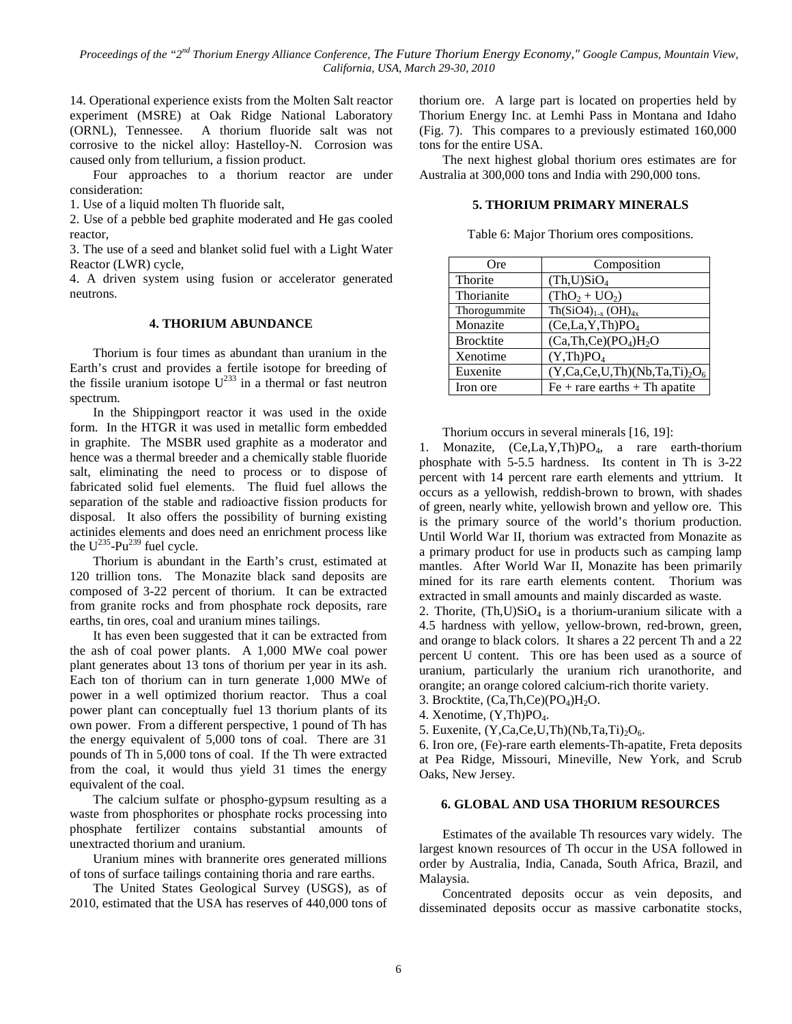14. Operational experience exists from the Molten Salt reactor experiment (MSRE) at Oak Ridge National Laboratory (ORNL), Tennessee. A thorium fluoride salt was not corrosive to the nickel alloy: Hastelloy-N. Corrosion was caused only from tellurium, a fission product.

Four approaches to a thorium reactor are under consideration:

1. Use of a liquid molten Th fluoride salt,

2. Use of a pebble bed graphite moderated and He gas cooled reactor,

3. The use of a seed and blanket solid fuel with a Light Water Reactor (LWR) cycle,

4. A driven system using fusion or accelerator generated neutrons.

## **4. THORIUM ABUNDANCE**

Thorium is four times as abundant than uranium in the Earth's crust and provides a fertile isotope for breeding of the fissile uranium isotope  $U^{233}$  in a thermal or fast neutron spectrum.

In the Shippingport reactor it was used in the oxide form. In the HTGR it was used in metallic form embedded in graphite. The MSBR used graphite as a moderator and hence was a thermal breeder and a chemically stable fluoride salt, eliminating the need to process or to dispose of fabricated solid fuel elements. The fluid fuel allows the separation of the stable and radioactive fission products for disposal. It also offers the possibility of burning existing actinides elements and does need an enrichment process like the  $U^{235}$ -Pu<sup>239</sup> fuel cycle.

Thorium is abundant in the Earth's crust, estimated at 120 trillion tons. The Monazite black sand deposits are composed of 3-22 percent of thorium. It can be extracted from granite rocks and from phosphate rock deposits, rare earths, tin ores, coal and uranium mines tailings.

It has even been suggested that it can be extracted from the ash of coal power plants. A 1,000 MWe coal power plant generates about 13 tons of thorium per year in its ash. Each ton of thorium can in turn generate 1,000 MWe of power in a well optimized thorium reactor. Thus a coal power plant can conceptually fuel 13 thorium plants of its own power. From a different perspective, 1 pound of Th has the energy equivalent of 5,000 tons of coal. There are 31 pounds of Th in 5,000 tons of coal. If the Th were extracted from the coal, it would thus yield 31 times the energy equivalent of the coal.

The calcium sulfate or phospho-gypsum resulting as a waste from phosphorites or phosphate rocks processing into phosphate fertilizer contains substantial amounts of unextracted thorium and uranium.

Uranium mines with brannerite ores generated millions of tons of surface tailings containing thoria and rare earths.

The United States Geological Survey (USGS), as of 2010, estimated that the USA has reserves of 440,000 tons of thorium ore. A large part is located on properties held by Thorium Energy Inc. at Lemhi Pass in Montana and Idaho (Fig. 7). This compares to a previously estimated 160,000 tons for the entire USA.

The next highest global thorium ores estimates are for Australia at 300,000 tons and India with 290,000 tons.

## **5. THORIUM PRIMARY MINERALS**

| Ore              | Composition                          |
|------------------|--------------------------------------|
| Thorite          | (Th, U)SiO <sub>4</sub>              |
| Thorianite       | $(ThO2 + UO2)$                       |
| Thorogummite     | $Th(SiO4)_{1-x} (OH)_{4x}$           |
| Monazite         | (Ce, La, Y, Th)PO <sub>4</sub>       |
| <b>Brocktite</b> | $(Ca, Th, Ce)(PO4)H2O$               |
| Xenotime         | (Y, Th)PO <sub>4</sub>               |
| Euxenite         | $(Y, Ca, Ce, U, Th) (Nb, Ta, Ti)2O6$ |
| Iron ore         | $Fe + rare$ earths + Th apatite      |

Table 6: Major Thorium ores compositions.

Thorium occurs in several minerals [16, 19]:

1. Monazite,  $(Ce, La, Y, Th)PO<sub>4</sub>$ , a rare earth-thorium phosphate with 5-5.5 hardness. Its content in Th is 3-22 percent with 14 percent rare earth elements and yttrium. It occurs as a yellowish, reddish-brown to brown, with shades of green, nearly white, yellowish brown and yellow ore. This is the primary source of the world's thorium production. Until World War II, thorium was extracted from Monazite as a primary product for use in products such as camping lamp mantles. After World War II, Monazite has been primarily mined for its rare earth elements content. Thorium was extracted in small amounts and mainly discarded as waste.

2. Thorite,  $(Th, U)SiO<sub>4</sub>$  is a thorium-uranium silicate with a 4.5 hardness with yellow, yellow-brown, red-brown, green, and orange to black colors. It shares a 22 percent Th and a 22 percent U content. This ore has been used as a source of uranium, particularly the uranium rich uranothorite, and orangite; an orange colored calcium-rich thorite variety.

3. Brocktite,  $(Ca, Th, Ce)(PO<sub>4</sub>)H<sub>2</sub>O$ .

4. Xenotime,  $(Y, Th)PO<sub>4</sub>$ .

5. Euxenite,  $(Y, Ca, Ce, U, Th) (Nb, Ta, Ti)_2O_6.$ 

6. Iron ore, (Fe)-rare earth elements-Th-apatite, Freta deposits at Pea Ridge, Missouri, Mineville, New York, and Scrub Oaks, New Jersey.

## **6. GLOBAL AND USA THORIUM RESOURCES**

Estimates of the available Th resources vary widely. The largest known resources of Th occur in the USA followed in order by Australia, India, Canada, South Africa, Brazil, and Malaysia.

Concentrated deposits occur as vein deposits, and disseminated deposits occur as massive carbonatite stocks,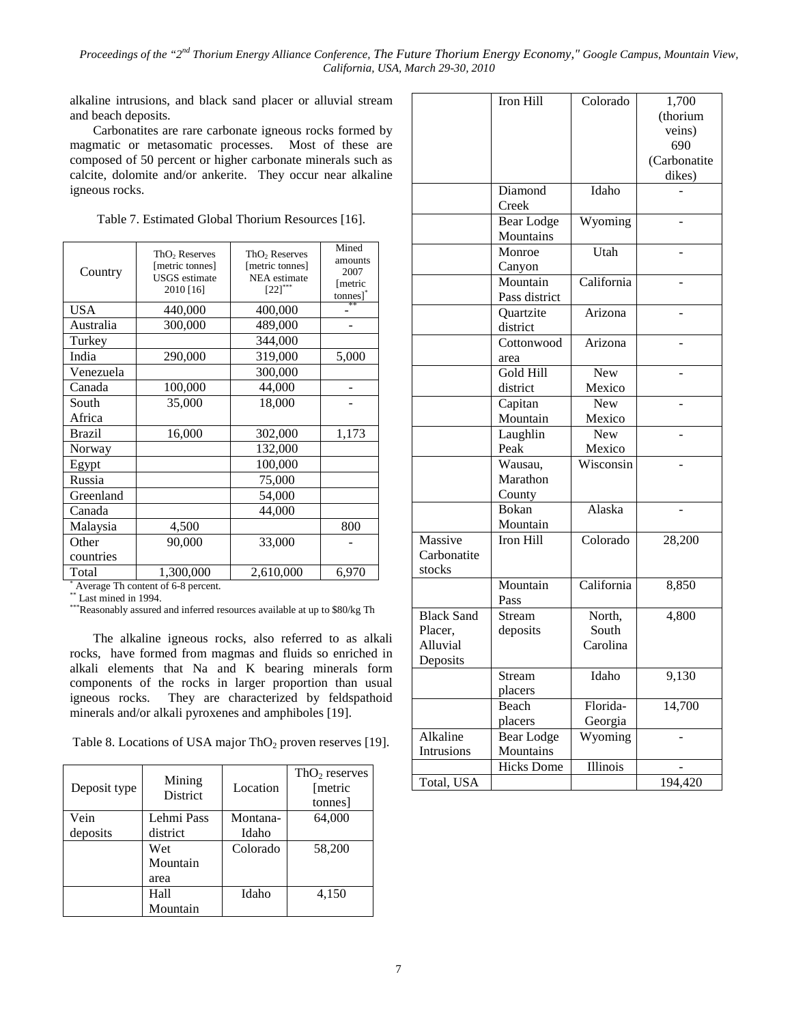alkaline intrusions, and black sand placer or alluvial stream and beach deposits.

Carbonatites are rare carbonate igneous rocks formed by magmatic or metasomatic processes. Most of these are composed of 50 percent or higher carbonate minerals such as calcite, dolomite and/or ankerite. They occur near alkaline igneous rocks.

Table 7. Estimated Global Thorium Resources [16].

| Country       | ThO <sub>2</sub> Reserves<br>[metric tonnes]<br><b>USGS</b> estimate<br>2010 [16] | ThO <sub>2</sub> Reserves<br>[metric tonnes]<br><b>NEA</b> estimate<br>$[22]$ *** | Mined<br>amounts<br>2007<br>[metric<br>tonnes] |
|---------------|-----------------------------------------------------------------------------------|-----------------------------------------------------------------------------------|------------------------------------------------|
| <b>USA</b>    | 440,000                                                                           | 400,000                                                                           | 未来                                             |
| Australia     | 300,000                                                                           | 489,000                                                                           |                                                |
| Turkey        |                                                                                   | 344,000                                                                           |                                                |
| India         | 290,000                                                                           | 319,000                                                                           | 5,000                                          |
| Venezuela     |                                                                                   | 300,000                                                                           |                                                |
| Canada        | 100,000                                                                           | 44,000                                                                            |                                                |
| South         | 35,000                                                                            | 18,000                                                                            |                                                |
| Africa        |                                                                                   |                                                                                   |                                                |
| <b>Brazil</b> | 16,000                                                                            | 302,000                                                                           | 1,173                                          |
| Norway        |                                                                                   | 132,000                                                                           |                                                |
| Egypt         |                                                                                   | 100,000                                                                           |                                                |
| Russia        |                                                                                   | 75,000                                                                            |                                                |
| Greenland     |                                                                                   | 54,000                                                                            |                                                |
| Canada        |                                                                                   | 44,000                                                                            |                                                |
| Malaysia      | 4,500                                                                             |                                                                                   | 800                                            |
| Other         | 90,000                                                                            | 33,000                                                                            |                                                |
| countries     |                                                                                   |                                                                                   |                                                |
| Total         | 1,300,000                                                                         | 2,610,000                                                                         | 6,970                                          |

\* Average Th content of 6-8 percent.

\*\* Last mined in 1994.

\*\*\*Reasonably assured and inferred resources available at up to \$80/kg Th

The alkaline igneous rocks, also referred to as alkali rocks, have formed from magmas and fluids so enriched in alkali elements that Na and K bearing minerals form components of the rocks in larger proportion than usual igneous rocks. They are characterized by feldspathoid minerals and/or alkali pyroxenes and amphiboles [19].

Table 8. Locations of USA major  $ThO<sub>2</sub>$  proven reserves [19].

| Deposit type | Mining<br><b>District</b> | Location | $ThO2$ reserves<br>[metric]<br>tonnes] |
|--------------|---------------------------|----------|----------------------------------------|
| Vein         | Lehmi Pass                | Montana- | 64,000                                 |
| deposits     | district                  | Idaho    |                                        |
|              | Wet                       | Colorado | 58,200                                 |
|              | Mountain                  |          |                                        |
|              | area                      |          |                                        |
|              | Hall                      | Idaho    | 4,150                                  |
|              | Mountain                  |          |                                        |

|                   | <b>Iron Hill</b>  | Colorado                       | 1,700        |
|-------------------|-------------------|--------------------------------|--------------|
|                   |                   |                                | (thorium     |
|                   |                   |                                | veins)       |
|                   |                   |                                | 690          |
|                   |                   |                                | (Carbonatite |
|                   |                   |                                | dikes)       |
|                   | Diamond           | Idaho                          |              |
|                   | Creek             |                                |              |
|                   | <b>Bear Lodge</b> | Wyoming                        |              |
|                   | Mountains         |                                |              |
|                   | Monroe            | Utah                           |              |
|                   | Canyon            |                                |              |
|                   | Mountain          | California                     |              |
|                   | Pass district     |                                |              |
|                   | Quartzite         | Arizona                        |              |
|                   | district          |                                |              |
|                   | Cottonwood        | Arizona                        |              |
|                   | area              |                                |              |
|                   | Gold Hill         | <b>New</b>                     |              |
|                   | district          | Mexico                         |              |
|                   | Capitan           | New                            |              |
|                   | Mountain          | Mexico                         |              |
|                   | Laughlin          | <b>New</b>                     |              |
|                   | Peak              | Mexico                         |              |
|                   | Wausau,           | $\overline{\text{W}}$ isconsin |              |
|                   | Marathon          |                                |              |
|                   | County            |                                |              |
|                   | Bokan             | Alaska                         |              |
|                   | Mountain          |                                |              |
| Massive           | Iron Hill         | Colorado                       | 28,200       |
| Carbonatite       |                   |                                |              |
| stocks            |                   |                                |              |
|                   | Mountain          | California                     | 8,850        |
|                   | Pass              |                                |              |
| <b>Black Sand</b> | Stream            | North,                         | 4,800        |
| Placer,           | deposits          | South                          |              |
| Alluvial          |                   | Carolina                       |              |
| Deposits          |                   |                                |              |
|                   | Stream            | Idaho                          | 9,130        |
|                   | placers           |                                |              |
|                   | Beach             | Florida-                       | 14,700       |
|                   | placers           | Georgia                        |              |
| Alkaline          | <b>Bear Lodge</b> | Wyoming                        |              |
| Intrusions        | Mountains         |                                |              |
|                   | <b>Hicks Dome</b> | Illinois                       |              |
| Total, USA        |                   |                                | 194,420      |
|                   |                   |                                |              |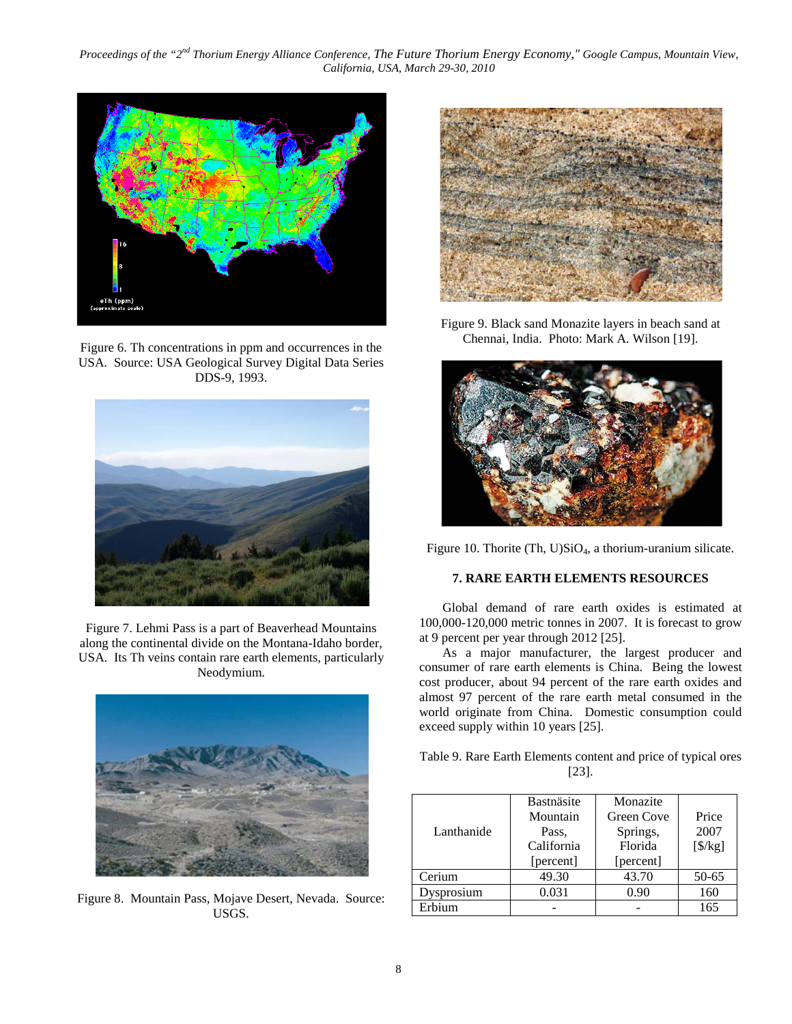

Figure 6. Th concentrations in ppm and occurrences in the USA. Source: USA Geological Survey Digital Data Series DDS-9, 1993.



Figure 7. Lehmi Pass is a part of Beaverhead Mountains along the continental divide on the Montana-Idaho border, USA. Its Th veins contain rare earth elements, particularly Neodymium.



Figure 8. Mountain Pass, Mojave Desert, Nevada. Source: USGS.



Figure 9. Black sand Monazite layers in beach sand at Chennai, India. Photo: Mark A. Wilson [19].



Figure 10. Thorite (Th,  $U$ ) $SiO<sub>4</sub>$ , a thorium-uranium silicate.

## **7. RARE EARTH ELEMENTS RESOURCES**

Global demand of rare earth oxides is estimated at 100,000-120,000 metric tonnes in 2007. It is forecast to grow at 9 percent per year through 2012 [25].

As a major manufacturer, the largest producer and consumer of rare earth elements is China. Being the lowest cost producer, about 94 percent of the rare earth oxides and almost 97 percent of the rare earth metal consumed in the world originate from China. Domestic consumption could exceed supply within 10 years [25].

Table 9. Rare Earth Elements content and price of typical ores [23].

| Lanthanide | Bastnäsite<br>Mountain<br>Pass.<br>California<br>[percent] | Monazite<br>Green Cove<br>Springs,<br>Florida<br>[percent] | Price<br>2007<br>$[\frac{\sqrt{2}}{2}]$ |
|------------|------------------------------------------------------------|------------------------------------------------------------|-----------------------------------------|
| Cerium     | 49.30                                                      | 43.70                                                      | 50-65                                   |
| vsprosium  | 0.031                                                      | 0.90                                                       | 160                                     |
| Erbium     |                                                            |                                                            | 165                                     |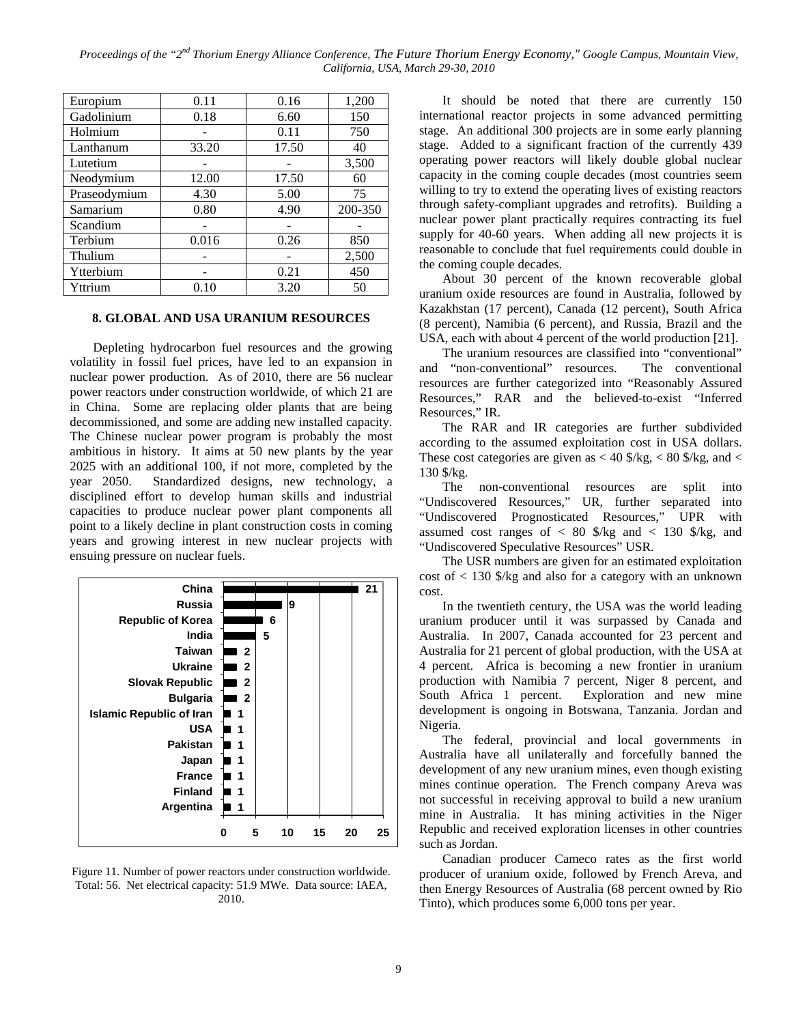| Europium     | 0.11  | 0.16  | 1,200   |
|--------------|-------|-------|---------|
| Gadolinium   | 0.18  | 6.60  | 150     |
| Holmium      |       | 0.11  | 750     |
| Lanthanum    | 33.20 | 17.50 | 40      |
| Lutetium     |       |       | 3,500   |
| Neodymium    | 12.00 | 17.50 | 60      |
| Praseodymium | 4.30  | 5.00  | 75      |
| Samarium     | 0.80  | 4.90  | 200-350 |
| Scandium     |       |       |         |
| Terbium      | 0.016 | 0.26  | 850     |
| Thulium      |       |       | 2,500   |
| Ytterbium    |       | 0.21  | 450     |
| Yttrium      | 0.10  | 3.20  | 50      |

#### **8. GLOBAL AND USA URANIUM RESOURCES**

Depleting hydrocarbon fuel resources and the growing volatility in fossil fuel prices, have led to an expansion in nuclear power production. As of 2010, there are 56 nuclear power reactors under construction worldwide, of which 21 are in China. Some are replacing older plants that are being decommissioned, and some are adding new installed capacity. The Chinese nuclear power program is probably the most ambitious in history. It aims at 50 new plants by the year 2025 with an additional 100, if not more, completed by the year 2050. Standardized designs, new technology, a disciplined effort to develop human skills and industrial capacities to produce nuclear power plant components all point to a likely decline in plant construction costs in coming years and growing interest in new nuclear projects with ensuing pressure on nuclear fuels.



Figure 11. Number of power reactors under construction worldwide. Total: 56. Net electrical capacity: 51.9 MWe. Data source: IAEA, 2010.

It should be noted that there are currently 150 international reactor projects in some advanced permitting stage. An additional 300 projects are in some early planning stage. Added to a significant fraction of the currently 439 operating power reactors will likely double global nuclear capacity in the coming couple decades (most countries seem willing to try to extend the operating lives of existing reactors through safety-compliant upgrades and retrofits). Building a nuclear power plant practically requires contracting its fuel supply for 40-60 years. When adding all new projects it is reasonable to conclude that fuel requirements could double in the coming couple decades.

About 30 percent of the known recoverable global uranium oxide resources are found in Australia, followed by Kazakhstan (17 percent), Canada (12 percent), South Africa (8 percent), Namibia (6 percent), and Russia, Brazil and the USA, each with about 4 percent of the world production [21].

The uranium resources are classified into "conventional" and "non-conventional" resources. The conventional resources are further categorized into "Reasonably Assured Resources," RAR and the believed-to-exist "Inferred Resources," IR.

The RAR and IR categories are further subdivided according to the assumed exploitation cost in USA dollars. These cost categories are given as  $< 40$  \$/kg,  $< 80$  \$/kg, and  $<$ 130 \$/kg.

The non-conventional resources are split into "Undiscovered Resources," UR, further separated into "Undiscovered Prognosticated Resources," UPR with assumed cost ranges of  $\langle 80 \rangle$  \$/kg and  $\langle 130 \rangle$  \$/kg, and "Undiscovered Speculative Resources" USR.

The USR numbers are given for an estimated exploitation cost of < 130 \$/kg and also for a category with an unknown cost.

In the twentieth century, the USA was the world leading uranium producer until it was surpassed by Canada and Australia. In 2007, Canada accounted for 23 percent and Australia for 21 percent of global production, with the USA at 4 percent. Africa is becoming a new frontier in uranium production with Namibia 7 percent, Niger 8 percent, and South Africa 1 percent. Exploration and new mine development is ongoing in Botswana, Tanzania. Jordan and Nigeria.

The federal, provincial and local governments in Australia have all unilaterally and forcefully banned the development of any new uranium mines, even though existing mines continue operation. The French company Areva was not successful in receiving approval to build a new uranium mine in Australia. It has mining activities in the Niger Republic and received exploration licenses in other countries such as Jordan.

Canadian producer Cameco rates as the first world producer of uranium oxide, followed by French Areva, and then Energy Resources of Australia (68 percent owned by Rio Tinto), which produces some 6,000 tons per year.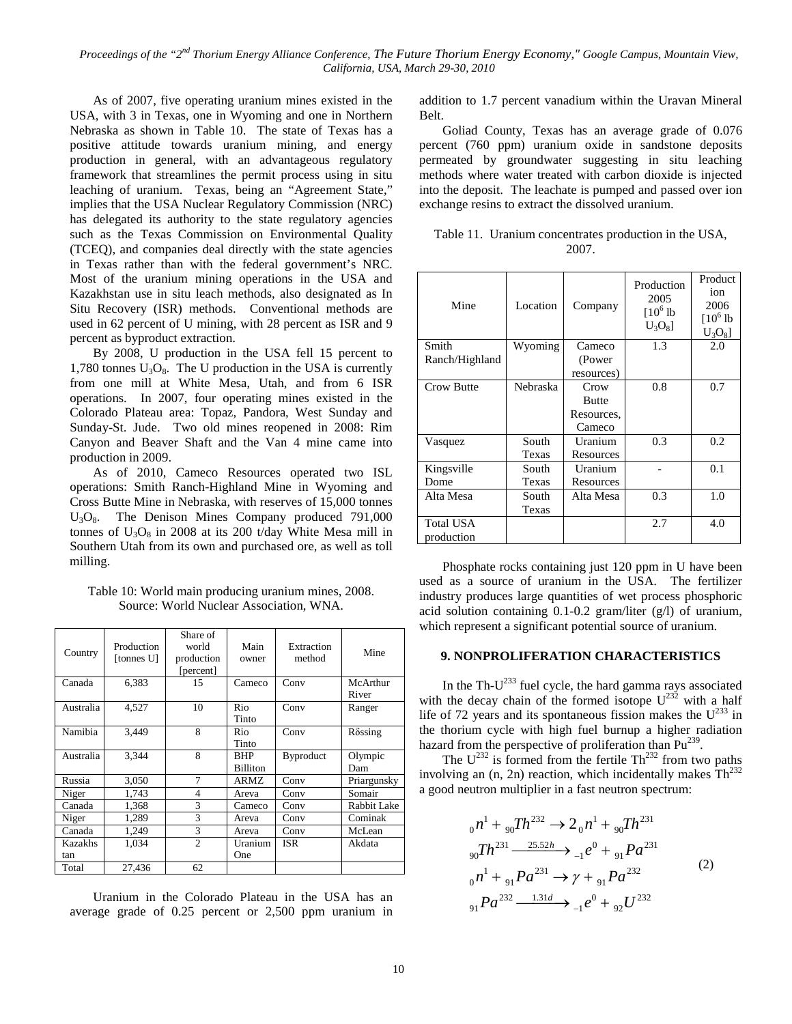As of 2007, five operating uranium mines existed in the USA, with 3 in Texas, one in Wyoming and one in Northern Nebraska as shown in Table 10. The state of Texas has a positive attitude towards uranium mining, and energy production in general, with an advantageous regulatory framework that streamlines the permit process using in situ leaching of uranium. Texas, being an "Agreement State," implies that the USA Nuclear Regulatory Commission (NRC) has delegated its authority to the state regulatory agencies such as the Texas Commission on Environmental Quality (TCEQ), and companies deal directly with the state agencies in Texas rather than with the federal government's NRC. Most of the uranium mining operations in the USA and Kazakhstan use in situ leach methods, also designated as In Situ Recovery (ISR) methods. Conventional methods are used in 62 percent of U mining, with 28 percent as ISR and 9 percent as byproduct extraction.

By 2008, U production in the USA fell 15 percent to 1,780 tonnes  $U_3O_8$ . The U production in the USA is currently from one mill at White Mesa, Utah, and from 6 ISR operations. In 2007, four operating mines existed in the Colorado Plateau area: Topaz, Pandora, West Sunday and Sunday-St. Jude. Two old mines reopened in 2008: Rim Canyon and Beaver Shaft and the Van 4 mine came into production in 2009.

As of 2010, Cameco Resources operated two ISL operations: Smith Ranch-Highland Mine in Wyoming and Cross Butte Mine in Nebraska, with reserves of 15,000 tonnes U<sub>3</sub>O<sub>8</sub>. The Denison Mines Company produced 791,000 tonnes of  $U_3O_8$  in 2008 at its 200 t/day White Mesa mill in Southern Utah from its own and purchased ore, as well as toll milling.

Table 10: World main producing uranium mines, 2008. Source: World Nuclear Association, WNA.

| Country               | Production<br>[tonnes U] | Share of<br>world<br>production<br>[percent] | Main<br>owner                 | Extraction<br>method | Mine              |
|-----------------------|--------------------------|----------------------------------------------|-------------------------------|----------------------|-------------------|
| Canada                | 6,383                    | 15                                           | Cameco                        | Conv                 | McArthur<br>River |
| Australia             | 4,527                    | 10                                           | Rio<br>Tinto                  | Conv                 | Ranger            |
| Namibia               | 3.449                    | 8                                            | Rio<br>Tinto                  | Conv                 | $R\delta$ ssing   |
| Australia             | 3.344                    | 8                                            | <b>BHP</b><br><b>Billiton</b> | <b>Byproduct</b>     | Olympic<br>Dam    |
| Russia                | 3,050                    | 7                                            | ARMZ                          | Conv                 | Priargunsky       |
| Niger                 | 1,743                    | $\overline{4}$                               | Areva                         | Conv                 | Somair            |
| Canada                | 1,368                    | 3                                            | Cameco                        | Conv                 | Rabbit Lake       |
| Niger                 | 1,289                    | 3                                            | Areva                         | Conv                 | Cominak           |
| Canada                | 1,249                    | 3                                            | Areva                         | Conv                 | McLean            |
| <b>Kazakhs</b><br>tan | 1,034                    | $\overline{c}$                               | Uranium<br>One                | <b>ISR</b>           | Akdata            |
| Total                 | 27,436                   | 62                                           |                               |                      |                   |

Uranium in the Colorado Plateau in the USA has an average grade of 0.25 percent or 2,500 ppm uranium in addition to 1.7 percent vanadium within the Uravan Mineral Belt.

Goliad County, Texas has an average grade of 0.076 percent (760 ppm) uranium oxide in sandstone deposits permeated by groundwater suggesting in situ leaching methods where water treated with carbon dioxide is injected into the deposit. The leachate is pumped and passed over ion exchange resins to extract the dissolved uranium.

| Table 11. Uranium concentrates production in the USA, |
|-------------------------------------------------------|
| 2007.                                                 |

| Mine                    | Location | Company      | Production<br>2005<br>$[10^6]$<br>$U_3O_8$ | Product<br>ion<br>2006<br>$[10^6]$<br>$U_3O_8$ |
|-------------------------|----------|--------------|--------------------------------------------|------------------------------------------------|
| Smith                   | Wyoming  | Cameco       | 1.3                                        | 2.0                                            |
| Ranch/Highland          |          | (Power       |                                            |                                                |
|                         |          | resources)   |                                            |                                                |
| <b>Crow Butte</b>       | Nebraska | Crow         | 0.8                                        | 0.7                                            |
|                         |          | <b>Butte</b> |                                            |                                                |
|                         |          | Resources,   |                                            |                                                |
|                         |          | Cameco       |                                            |                                                |
| Vasquez                 | South    | Uranium      | 0.3                                        | 0.2                                            |
|                         | Texas    | Resources    |                                            |                                                |
| Kingsville              | South    | Uranium      |                                            | 0.1                                            |
| Dome                    | Texas    | Resources    |                                            |                                                |
| Alta Mesa               | South    | Alta Mesa    | 0.3                                        | 1.0                                            |
|                         | Texas    |              |                                            |                                                |
| Total USA<br>production |          |              | 2.7                                        | 4.0                                            |

Phosphate rocks containing just 120 ppm in U have been used as a source of uranium in the USA. The fertilizer industry produces large quantities of wet process phosphoric acid solution containing 0.1-0.2 gram/liter (g/l) of uranium, which represent a significant potential source of uranium.

## **9. NONPROLIFERATION CHARACTERISTICS**

In the Th- $U^{233}$  fuel cycle, the hard gamma rays associated with the decay chain of the formed isotope  $U^{232}$  with a half life of 72 years and its spontaneous fission makes the  $U^{233}$  in the thorium cycle with high fuel burnup a higher radiation hazard from the perspective of proliferation than Pu<sup>239</sup>.

The  $U^{232}$  is formed from the fertile Th<sup>232</sup> from two paths involving an  $(n, 2n)$  reaction, which incidentally makes  $Th<sup>232</sup>$ a good neutron multiplier in a fast neutron spectrum:

$$
{}_{0}n^{1} + {}_{90}Th^{232} \rightarrow 2 {}_{0}n^{1} + {}_{90}Th^{231}
$$
  
\n
$$
{}_{90}Th^{231} \xrightarrow{25.52h} {}_{-1}e^{0} + {}_{91}Pa^{231}
$$
  
\n
$$
{}_{0}n^{1} + {}_{91}Pa^{231} \rightarrow \gamma + {}_{91}Pa^{232}
$$
  
\n
$$
{}_{91}Pa^{232} \xrightarrow{1.31d} {}_{-1}e^{0} + {}_{92}U^{232}
$$
\n(2)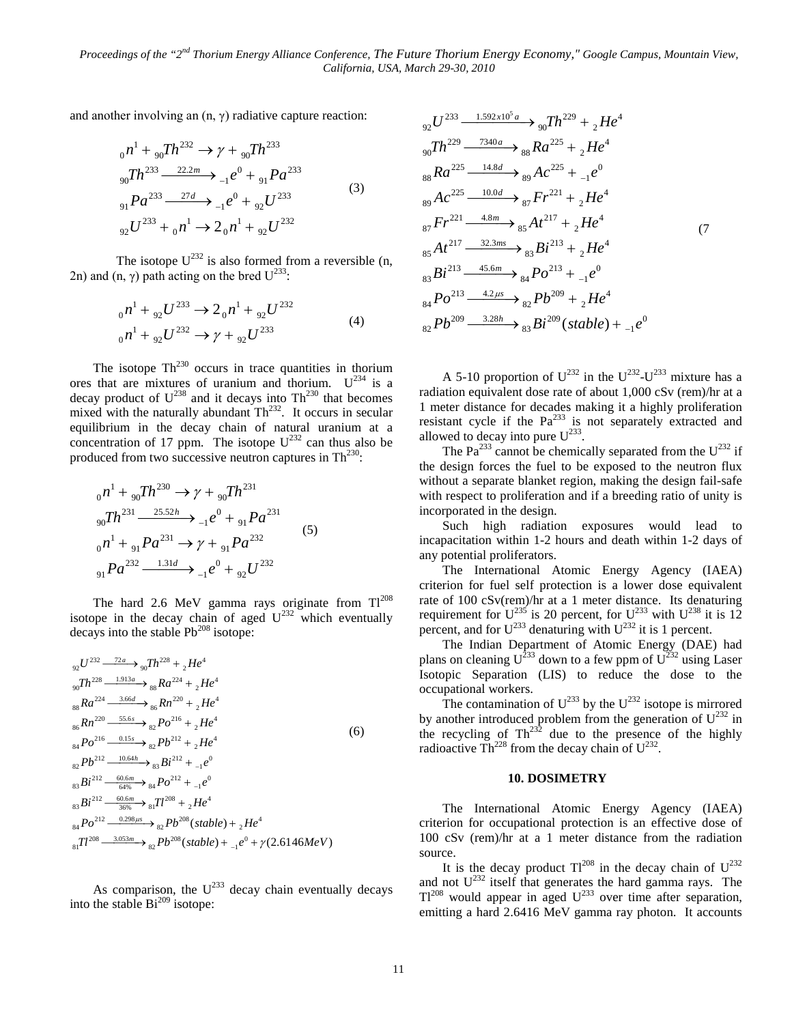and another involving an  $(n, \gamma)$  radiative capture reaction:

$$
_{0}n^{1} + {}_{90}Th^{232} \rightarrow \gamma + {}_{90}Th^{233}
$$
  
\n
$$
_{90}Th^{233} \xrightarrow{22.2m} {}_{-1}e^{0} + {}_{91}Pa^{233}
$$
  
\n
$$
_{91}Pa^{233} \xrightarrow{27d} {}_{-1}e^{0} + {}_{92}U^{233}
$$
  
\n
$$
_{92}U^{233} + {}_{0}n^{1} \rightarrow 2 {}_{0}n^{1} + {}_{92}U^{232}
$$
  
\n(3)

The isotope  $U^{232}$  is also formed from a reversible (n, 2n) and (n,  $\gamma$ ) path acting on the bred  $U^{233}$ :

$$
_{0}n^{1} + _{92}U^{233} \rightarrow 2_{0}n^{1} + _{92}U^{232}
$$
  
\n
$$
_{0}n^{1} + _{92}U^{232} \rightarrow \gamma + _{92}U^{233}
$$
\n(4)

The isotope  $Th^{230}$  occurs in trace quantities in thorium ores that are mixtures of uranium and thorium.  $U^{234}$  is a decay product of  $U^{238}$  and it decays into Th<sup>230</sup> that becomes mixed with the naturally abundant  $Th<sup>232</sup>$ . It occurs in secular equilibrium in the decay chain of natural uranium at a concentration of 17 ppm. The isotope  $U^{232}$  can thus also be produced from two successive neutron captures in  $Th<sup>230</sup>$ :

$$
{}_{0}n^{1} + {}_{90}Th^{230} \rightarrow \gamma + {}_{90}Th^{231}
$$
  
\n
$$
{}_{90}Th^{231} \xrightarrow{25.52h} {}_{-1}e^{0} + {}_{91}Pa^{231}
$$
  
\n
$$
{}_{0}n^{1} + {}_{91}Pa^{231} \rightarrow \gamma + {}_{91}Pa^{232}
$$
  
\n
$$
{}_{91}Pa^{232} \xrightarrow{1.31d} {}_{-1}e^{0} + {}_{92}U^{232}
$$
\n
$$
(5)
$$

The hard 2.6 MeV gamma rays originate from  $TI^{208}$ isotope in the decay chain of aged  $U^{232}$  which eventually decays into the stable  $Pb^{208}$  isotope:

$$
{}_{92}U^{232} \frac{72a}{1913a} \rightarrow {}_{90}Th^{228} + {}_{2}He^{4}
$$
  
\n
$$
{}_{90}Th^{228} \frac{1.913a}{1813a} \rightarrow {}_{88}Ra^{224} + {}_{2}He^{4}
$$
  
\n
$$
{}_{88}Ra^{224} \frac{3.66d}{188} \rightarrow {}_{86}Rn^{220} + {}_{2}He^{4}
$$
  
\n
$$
{}_{84}Po^{216} \frac{0.15s}{1813} \rightarrow {}_{82}Po^{216} + {}_{2}He^{4}
$$
  
\n
$$
{}_{82}Pb^{212} \frac{10.64h}{1813} \rightarrow {}_{83}Bi^{212} + {}_{2}He^{4}
$$
  
\n
$$
{}_{83}Bi^{212} \frac{60.6m}{6496} \rightarrow {}_{84}Po^{212} + {}_{1}e^{0}
$$
  
\n
$$
{}_{83}Bi^{212} \frac{60.6m}{3696} \rightarrow {}_{81}Tl^{208} + {}_{2}He^{4}
$$
  
\n
$$
{}_{84}Po^{212} \frac{0.298\mu s}{3696} \rightarrow {}_{82}Pb^{208} (stable) + {}_{2}He^{4}
$$
  
\n
$$
{}_{81}Tl^{208} \frac{3.053m}{383m} \rightarrow {}_{82}Pb^{208} (stable) + {}_{1}e^{0} + \gamma(2.6146MeV)
$$

As comparison, the  $U^{233}$  decay chain eventually decays into the stable  $Bi^{209}$  isotope:

$$
{}_{92}U^{233} \xrightarrow{1.592 \times 10^5 a} {}_{90}Th^{229} + {}_{2}He^4
$$
  
\n
$$
{}_{90}Th^{229} \xrightarrow{7340a} {}_{88}Ra^{225} + {}_{2}He^4
$$
  
\n
$$
{}_{88}Ra^{225} \xrightarrow{14.8d} {}_{89}Ac^{225} + {}_{-1}e^0
$$
  
\n
$$
{}_{89}Ac^{225} \xrightarrow{10.0d} {}_{87}Fr^{221} + {}_{2}He^4
$$
  
\n
$$
{}_{87}Fr^{221} \xrightarrow{4.8m} {}_{85}At^{217} + {}_{2}He^4
$$
  
\n
$$
{}_{85}At^{217} \xrightarrow{32.3ms} {}_{85}At^{217} + {}_{2}He^4
$$
  
\n
$$
{}_{83}Bi^{213} \xrightarrow{45.6m} {}_{84}Po^{213} + {}_{-1}e^0
$$
  
\n
$$
{}_{84}Po^{213} \xrightarrow{4.2 \mu s} {}_{82}Pb^{209} + {}_{2}He^4
$$
  
\n
$$
{}_{82}Pb^{209} \xrightarrow{3.28h} {}_{83}Bi^{209} (stable) + {}_{-1}e^0
$$

A 5-10 proportion of  $U^{232}$  in the  $U^{232}$ - $U^{233}$  mixture has a radiation equivalent dose rate of about 1,000 cSv (rem)/hr at a 1 meter distance for decades making it a highly proliferation resistant cycle if the  $Pa^{233}$  is not separately extracted and allowed to decay into pure  $U^{233}$ .

The Pa<sup>233</sup> cannot be chemically separated from the  $U^{232}$  if the design forces the fuel to be exposed to the neutron flux without a separate blanket region, making the design fail-safe with respect to proliferation and if a breeding ratio of unity is incorporated in the design.

Such high radiation exposures would lead to incapacitation within 1-2 hours and death within 1-2 days of any potential proliferators.

The International Atomic Energy Agency (IAEA) criterion for fuel self protection is a lower dose equivalent rate of 100 cSv(rem)/hr at a 1 meter distance. Its denaturing requirement for  $U^{235}$  is 20 percent, for  $U^{233}$  with  $U^{238}$  it is 12 percent, and for  $U^{233}$  denaturing with  $U^{232}$  it is 1 percent.

The Indian Department of Atomic Energy (DAE) had plans on cleaning  $U^{233}$  down to a few ppm of  $U^{232}$  using Laser Isotopic Separation (LIS) to reduce the dose to the occupational workers.

The contamination of  $U^{233}$  by the  $U^{232}$  isotope is mirrored by another introduced problem from the generation of  $U^{232}$  in the recycling of  $Th^{232}$  due to the presence of the highly radioactive  $\text{Th}^{228}$  from the decay chain of  $U^{232}$ .

#### **10. DOSIMETRY**

The International Atomic Energy Agency (IAEA) criterion for occupational protection is an effective dose of 100 cSv (rem)/hr at a 1 meter distance from the radiation source.

It is the decay product  $TI^{208}$  in the decay chain of  $U^{232}$ and not  $U^{232}$  itself that generates the hard gamma rays. The  $T1^{208}$  would appear in aged  $U^{233}$  over time after separation, emitting a hard 2.6416 MeV gamma ray photon. It accounts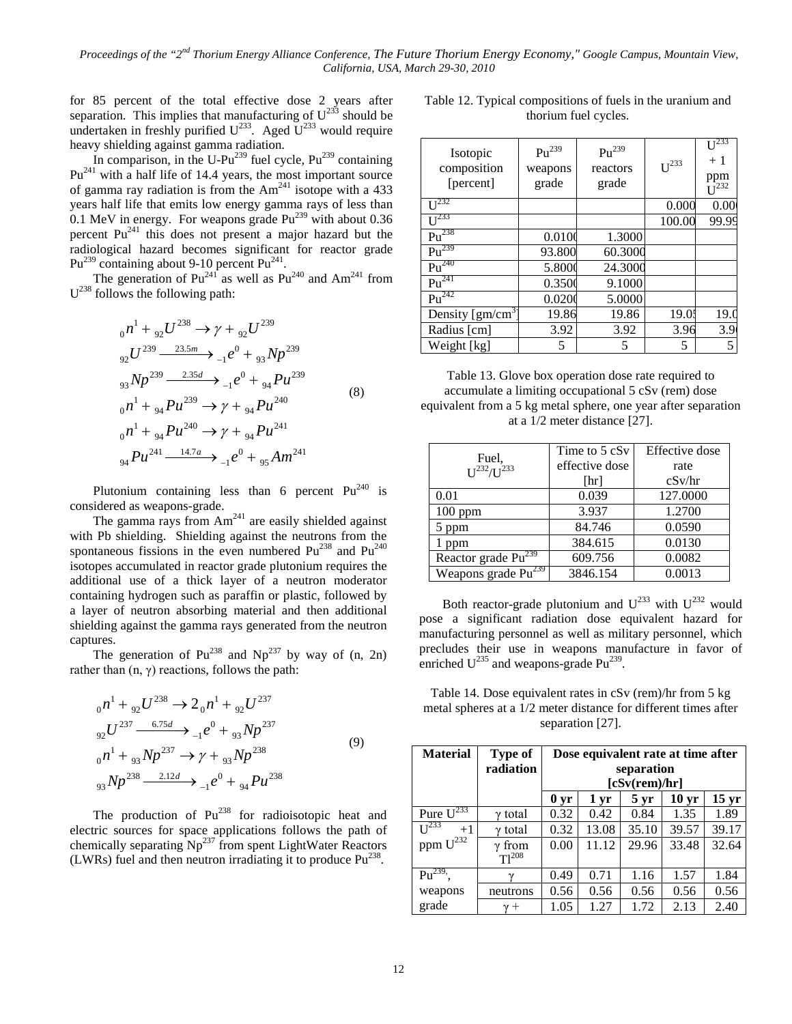for 85 percent of the total effective dose 2 years after separation. This implies that manufacturing of  $U^{233}$  should be undertaken in freshly purified  $U^{233}$ . Aged  $U^{233}$  would require heavy shielding against gamma radiation.

In comparison, in the U-Pu<sup>239</sup> fuel cycle,  $Pu^{239}$  containing  $Pu^{241}$  with a half life of 14.4 years, the most important source of gamma ray radiation is from the  $Am<sup>241</sup>$  isotope with a 433 years half life that emits low energy gamma rays of less than 0.1 MeV in energy. For weapons grade  $Pu^{239}$  with about 0.36 percent Pu241 this does not present a major hazard but the radiological hazard becomes significant for reactor grade  $Pu^{239}$  containing about 9-10 percent  $Pu^{241}$ .

The generation of  $Pu^{241}$  as well as  $Pu^{240}$  and  $Am^{241}$  from  $U^{238}$  follows the following path:

$$
{}_{0}n^{1} + {}_{92}U^{238} \rightarrow \gamma + {}_{92}U^{239}
$$
  
\n
$$
{}_{92}U^{239} \xrightarrow{23.5m} {}_{-1}e^{0} + {}_{93}Np^{239}
$$
  
\n
$$
{}_{93}Np^{239} \xrightarrow{2.35d} {}_{-1}e^{0} + {}_{94}Pu^{239}
$$
  
\n
$$
{}_{0}n^{1} + {}_{94}Pu^{239} \rightarrow \gamma + {}_{94}Pu^{240}
$$
  
\n
$$
{}_{0}n^{1} + {}_{94}Pu^{240} \rightarrow \gamma + {}_{94}Pu^{241}
$$
  
\n
$$
{}_{94}Pu^{241} \xrightarrow{14.7a} {}_{-1}e^{0} + {}_{95}Am^{241}
$$
  
\n(8)

Plutonium containing less than 6 percent  $Pu^{240}$  is considered as weapons-grade.

The gamma rays from  $Am^{241}$  are easily shielded against with Pb shielding. Shielding against the neutrons from the spontaneous fissions in the even numbered  $Pu^{238}$  and  $Pu^{240}$ isotopes accumulated in reactor grade plutonium requires the additional use of a thick layer of a neutron moderator containing hydrogen such as paraffin or plastic, followed by a layer of neutron absorbing material and then additional shielding against the gamma rays generated from the neutron captures.

The generation of  $Pu^{238}$  and  $Np^{237}$  by way of (n, 2n) rather than  $(n, \gamma)$  reactions, follows the path:

$$
{}_{0}n^{1} + {}_{92}U^{238} \rightarrow 2 {}_{0}n^{1} + {}_{92}U^{237}
$$
  
\n
$$
{}_{92}U^{237} \xrightarrow{6.75d} {}_{-1}e^{0} + {}_{93}Np^{237}
$$
  
\n
$$
{}_{0}n^{1} + {}_{93}Np^{237} \rightarrow \gamma + {}_{93}Np^{238}
$$
  
\n
$$
{}_{93}Np^{238} \xrightarrow{2.12d} {}_{-1}e^{0} + {}_{94}Pu^{238}
$$
  
\n(9)

The production of  $Pu^{238}$  for radioisotopic heat and electric sources for space applications follows the path of chemically separating  $Np^{237}$  from spent LightWater Reactors (LWRs) fuel and then neutron irradiating it to produce  $Pu^{238}$ .

Table 12. Typical compositions of fuels in the uranium and thorium fuel cycles.

| Isotopic<br>composition<br>[percent]  | $\mathrm{Pu}^{239}$<br>weapons<br>grade | $\mathrm{Pu}^{239}$<br>reactors<br>grade | $U^{233}$ | $U^{23}$<br>$+1$<br>$ppm$<br>$I^{232}$ |
|---------------------------------------|-----------------------------------------|------------------------------------------|-----------|----------------------------------------|
| $U^{232}$                             |                                         |                                          | 0.000     | 0.00                                   |
| I <sup>233</sup>                      |                                         |                                          | 100.00    | 99.99                                  |
| $Pu^{238}$                            | 0.010                                   | 1.3000                                   |           |                                        |
| $Pu^{239}$                            | 93.800                                  | 60.3000                                  |           |                                        |
| $Pu^{240}$                            | 5.8000                                  | 24.3000                                  |           |                                        |
| $Pu^{241}$                            | 0.3500                                  | 9.1000                                   |           |                                        |
| $Pu^{242}$                            | 0.0200                                  | 5.0000                                   |           |                                        |
| Density $\left[\text{gm/cm}^3\right]$ | 19.86                                   | 19.86                                    | 19.0      | 19(                                    |
| Radius [cm]                           | 3.92                                    | 3.92                                     | 3.96      | 3.9                                    |
| Weight [kg]                           | 5                                       | 5                                        | 5         | 5                                      |

Table 13. Glove box operation dose rate required to accumulate a limiting occupational 5 cSv (rem) dose equivalent from a 5 kg metal sphere, one year after separation at a 1/2 meter distance [27].

| Fuel,                               | Time to 5 cSv  | Effective dose |
|-------------------------------------|----------------|----------------|
| $II^{232}/II^{233}$                 | effective dose | rate           |
|                                     | [hr]           | cSv/hr         |
| 0.01                                | 0.039          | 127.0000       |
| $100$ ppm                           | 3.937          | 1.2700         |
| 5 ppm                               | 84.746         | 0.0590         |
| 1 ppm                               | 384.615        | 0.0130         |
| Reactor grade $Pu^{239}$            | 609.756        | 0.0082         |
| Weapons grade $\overline{Pu}^{239}$ | 3846.154       | 0.0013         |

Both reactor-grade plutonium and  $U^{233}$  with  $U^{232}$  would pose a significant radiation dose equivalent hazard for manufacturing personnel as well as military personnel, which precludes their use in weapons manufacture in favor of enriched  $U^{235}$  and weapons-grade Pu<sup>239</sup>.

Table 14. Dose equivalent rates in cSv (rem)/hr from 5 kg metal spheres at a 1/2 meter distance for different times after separation [27].

| <b>Material</b>           | Type of<br>radiation | Dose equivalent rate at time after<br>separation<br>[cSv(rem)/hr] |                                                                              |       |       |       |  |  |  |
|---------------------------|----------------------|-------------------------------------------------------------------|------------------------------------------------------------------------------|-------|-------|-------|--|--|--|
|                           |                      | 0 <sub>yr</sub>                                                   | 15 <sub>yr</sub><br>10 <sub>yr</sub><br>1 <sub>yr</sub><br>$5 \,\mathrm{yr}$ |       |       |       |  |  |  |
| Pure $\overline{U^{233}}$ | $\gamma$ total       | 0.32                                                              | 0.42                                                                         | 0.84  | 1.35  | 1.89  |  |  |  |
| $U^{233}$<br>$+1$         | $\gamma$ total       | 0.32                                                              | 13.08                                                                        | 35.10 | 39.57 | 39.17 |  |  |  |
| ppm U <sup>232</sup>      | from<br>$T1^{208}$   | 0.00                                                              | 11.12                                                                        | 29.96 | 33.48 | 32.64 |  |  |  |
| $Pu^{239}$                | $\mathcal V$         | 0.49                                                              | 0.71                                                                         | 1.16  | 1.57  | 1.84  |  |  |  |
| weapons                   | neutrons             | 0.56                                                              | 0.56                                                                         | 0.56  | 0.56  | 0.56  |  |  |  |
| grade                     | $^{+}$               | 1.05                                                              | 1.27                                                                         | 1.72  | 2.13  | 2.40  |  |  |  |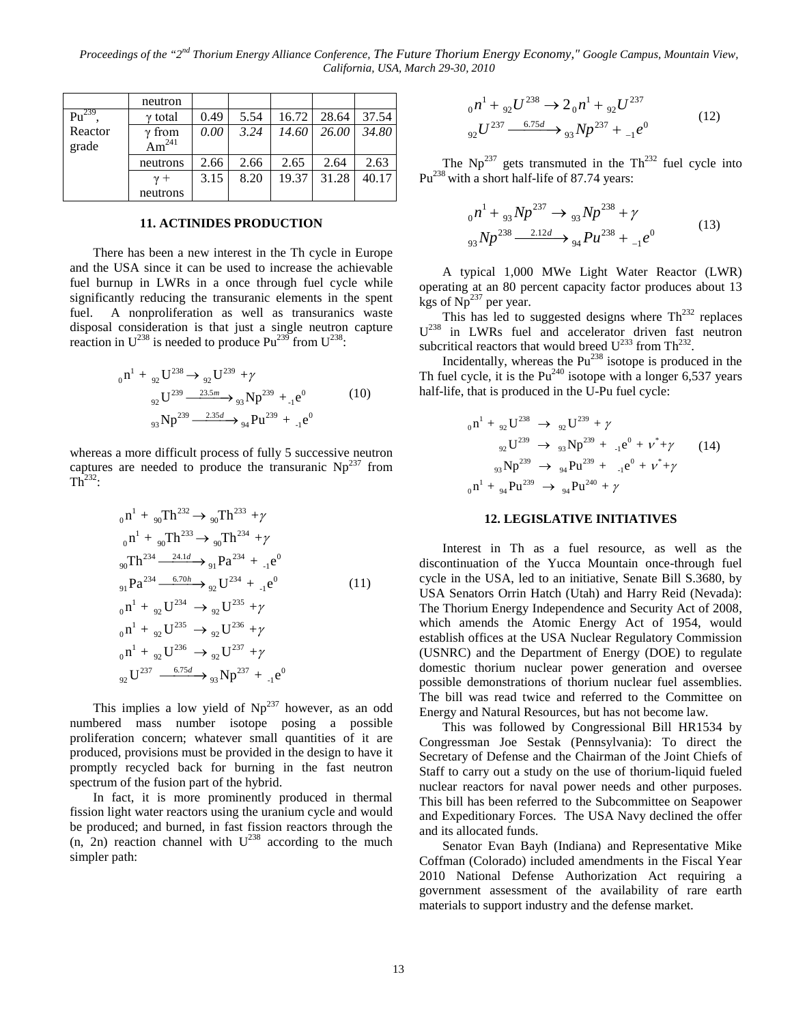*Proceedings of the "2nd Thorium Energy Alliance Conference, The Future Thorium Energy Economy," Google Campus, Mountain View, California, USA, March 29-30, 2010* 

|            | neutron           |      |      |       |       |       |
|------------|-------------------|------|------|-------|-------|-------|
| $Pu^{239}$ | $\gamma$ total    | 0.49 | 5.54 | 16.72 | 28.64 | 37.54 |
| Reactor    | $\gamma$ from     | 0.00 | 3.24 | 14.60 | 26.00 | 34.80 |
| grade      | Am <sup>241</sup> |      |      |       |       |       |
|            | neutrons          | 2.66 | 2.66 | 2.65  | 2.64  | 2.63  |
|            | $\gamma +$        | 3.15 | 8.20 | 19.37 | 31.28 | 40.17 |
|            | neutrons          |      |      |       |       |       |

## **11. ACTINIDES PRODUCTION**

There has been a new interest in the Th cycle in Europe and the USA since it can be used to increase the achievable fuel burnup in LWRs in a once through fuel cycle while significantly reducing the transuranic elements in the spent fuel. A nonproliferation as well as transuranics waste disposal consideration is that just a single neutron capture reaction in  $U^{238}$  is needed to produce Pu<sup>239</sup> from  $U^{238}$ :

$$
{}_{0}n^{1} + {}_{92}U^{238} \rightarrow {}_{92}U^{239} + \gamma
$$
  
\n
$$
{}_{92}U^{239} \xrightarrow{23.5m} {}_{93}Np^{239} + {}_{1}e^{0}
$$
  
\n
$$
{}_{93}Np^{239} \xrightarrow{2.35d} {}_{94}Pu^{239} + {}_{1}e^{0}
$$
\n(10)

whereas a more difficult process of fully 5 successive neutron captures are needed to produce the transuranic  $Np^{237}$  from  $Th<sup>232</sup>$ :

$$
{}_{0}n^{1} + {}_{90}Th^{232} \rightarrow {}_{90}Th^{233} + \gamma
$$
  
\n
$$
{}_{0}n^{1} + {}_{90}Th^{233} \rightarrow {}_{90}Th^{234} + \gamma
$$
  
\n
$$
{}_{90}Th^{234} \xrightarrow{24.1d} {}_{91}Pa^{234} + {}_{1}e^{0}
$$
  
\n
$$
{}_{91}Pa^{234} \xrightarrow{6.70h} {}_{92}U^{234} + {}_{1}e^{0}
$$
  
\n
$$
{}_{0}n^{1} + {}_{92}U^{234} \rightarrow {}_{92}U^{235} + \gamma
$$
  
\n
$$
{}_{0}n^{1} + {}_{92}U^{235} \rightarrow {}_{92}U^{236} + \gamma
$$
  
\n
$$
{}_{0}n^{1} + {}_{92}U^{236} \rightarrow {}_{92}U^{237} + \gamma
$$
  
\n
$$
{}_{91}U^{237} \xrightarrow{6.75d} {}_{93}Np^{237} + {}_{1}e^{0}
$$
  
\n(11)

This implies a low yield of  $Np^{237}$  however, as an odd numbered mass number isotope posing a possible proliferation concern; whatever small quantities of it are produced, provisions must be provided in the design to have it promptly recycled back for burning in the fast neutron spectrum of the fusion part of the hybrid.

In fact, it is more prominently produced in thermal fission light water reactors using the uranium cycle and would be produced; and burned, in fast fission reactors through the  $(n, 2n)$  reaction channel with  $U^{238}$  according to the much simpler path:

$$
_{0}n^{1} + _{92}U^{238} \rightarrow 2_{0}n^{1} + _{92}U^{237}
$$
  
\n
$$
_{92}U^{237} \xrightarrow{6.75d} _{93}Np^{237} + _{1}e^{0}
$$
\n(12)

The  $Np^{237}$  gets transmuted in the Th<sup>232</sup> fuel cycle into Pu<sup>238</sup> with a short half-life of 87.74 years:

$$
_{0}n^{1} + _{93}Np^{237} \rightarrow _{93}Np^{238} + \gamma
$$
  

$$
_{93}Np^{238} \xrightarrow{2.12d} _{94}Pu^{238} + _{1}e^{0}
$$
 (13)

A typical 1,000 MWe Light Water Reactor (LWR) operating at an 80 percent capacity factor produces about 13 kgs of  $Np^{237}$  per year.

This has led to suggested designs where  $\text{Th}^{232}$  replaces  $U^{238}$  in LWRs fuel and accelerator driven fast neutron subcritical reactors that would breed  $U^{233}$  from Th<sup>232</sup>.

Incidentally, whereas the  $Pu^{238}$  isotope is produced in the Th fuel cycle, it is the  $Pu^{240}$  isotope with a longer 6,537 years half-life, that is produced in the U-Pu fuel cycle:

$$
{}_{0}n^{1} + {}_{92}U^{238} \rightarrow {}_{92}U^{239} + \gamma
$$
  
\n
$$
{}_{92}U^{239} \rightarrow {}_{93}Np^{239} + {}_{-1}e^{0} + \nu^{*} + \gamma
$$
  
\n
$$
{}_{93}Np^{239} \rightarrow {}_{94}Pu^{239} + {}_{-1}e^{0} + \nu^{*} + \gamma
$$
  
\n
$$
{}_{0}n^{1} + {}_{94}Pu^{239} \rightarrow {}_{94}Pu^{240} + \gamma
$$

## **12. LEGISLATIVE INITIATIVES**

Interest in Th as a fuel resource, as well as the discontinuation of the Yucca Mountain once-through fuel cycle in the USA, led to an initiative, Senate Bill S.3680, by USA Senators Orrin Hatch (Utah) and Harry Reid (Nevada): The Thorium Energy Independence and Security Act of 2008, which amends the Atomic Energy Act of 1954, would establish offices at the USA Nuclear Regulatory Commission (USNRC) and the Department of Energy (DOE) to regulate domestic thorium nuclear power generation and oversee possible demonstrations of thorium nuclear fuel assemblies. The bill was read twice and referred to the Committee on Energy and Natural Resources, but has not become law.

This was followed by Congressional Bill HR1534 by Congressman Joe Sestak (Pennsylvania): To direct the Secretary of Defense and the Chairman of the Joint Chiefs of Staff to carry out a study on the use of thorium-liquid fueled nuclear reactors for naval power needs and other purposes. This bill has been referred to the Subcommittee on Seapower and Expeditionary Forces. The USA Navy declined the offer and its allocated funds.

Senator Evan Bayh (Indiana) and Representative Mike Coffman (Colorado) included amendments in the Fiscal Year 2010 National Defense Authorization Act requiring a government assessment of the availability of rare earth materials to support industry and the defense market.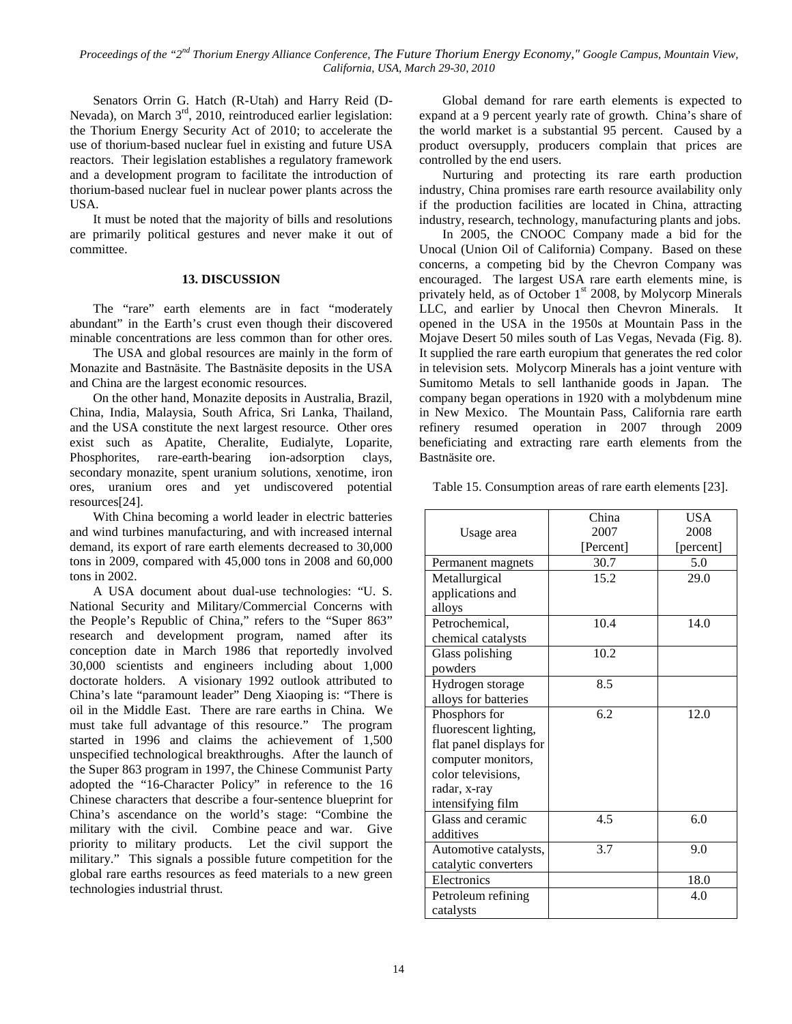Senators Orrin G. Hatch (R-Utah) and Harry Reid (D-Nevada), on March 3<sup>rd</sup>, 2010, reintroduced earlier legislation: the Thorium Energy Security Act of 2010; to accelerate the use of thorium-based nuclear fuel in existing and future USA reactors. Their legislation establishes a regulatory framework and a development program to facilitate the introduction of thorium-based nuclear fuel in nuclear power plants across the USA.

It must be noted that the majority of bills and resolutions are primarily political gestures and never make it out of committee.

#### **13. DISCUSSION**

The "rare" earth elements are in fact "moderately abundant" in the Earth's crust even though their discovered minable concentrations are less common than for other ores.

The USA and global resources are mainly in the form of Monazite and Bastnäsite. The Bastnäsite deposits in the USA and China are the largest economic resources.

On the other hand, Monazite deposits in Australia, Brazil, China, India, Malaysia, South Africa, Sri Lanka, Thailand, and the USA constitute the next largest resource. Other ores exist such as Apatite, Cheralite, Eudialyte, Loparite, Phosphorites, rare-earth-bearing ion-adsorption clays, secondary monazite, spent uranium solutions, xenotime, iron ores, uranium ores and yet undiscovered potential resources[24].

With China becoming a world leader in electric batteries and wind turbines manufacturing, and with increased internal demand, its export of rare earth elements decreased to 30,000 tons in 2009, compared with 45,000 tons in 2008 and 60,000 tons in 2002.

A USA document about dual-use technologies: "U. S. National Security and Military/Commercial Concerns with the People's Republic of China," refers to the "Super 863" research and development program, named after its conception date in March 1986 that reportedly involved 30,000 scientists and engineers including about 1,000 doctorate holders. A visionary 1992 outlook attributed to China's late "paramount leader" Deng Xiaoping is: "There is oil in the Middle East. There are rare earths in China. We must take full advantage of this resource." The program started in 1996 and claims the achievement of 1,500 unspecified technological breakthroughs. After the launch of the Super 863 program in 1997, the Chinese Communist Party adopted the "16-Character Policy" in reference to the 16 Chinese characters that describe a four-sentence blueprint for China's ascendance on the world's stage: "Combine the military with the civil. Combine peace and war. Give priority to military products. Let the civil support the military." This signals a possible future competition for the global rare earths resources as feed materials to a new green technologies industrial thrust.

Global demand for rare earth elements is expected to expand at a 9 percent yearly rate of growth. China's share of the world market is a substantial 95 percent. Caused by a product oversupply, producers complain that prices are controlled by the end users.

Nurturing and protecting its rare earth production industry, China promises rare earth resource availability only if the production facilities are located in China, attracting industry, research, technology, manufacturing plants and jobs.

In 2005, the CNOOC Company made a bid for the Unocal (Union Oil of California) Company. Based on these concerns, a competing bid by the Chevron Company was encouraged. The largest USA rare earth elements mine, is privately held, as of October  $1<sup>st</sup>$  2008, by Molycorp Minerals LLC, and earlier by Unocal then Chevron Minerals. It opened in the USA in the 1950s at Mountain Pass in the Mojave Desert 50 miles south of Las Vegas, Nevada (Fig. 8). It supplied the rare earth europium that generates the red color in television sets. Molycorp Minerals has a joint venture with Sumitomo Metals to sell lanthanide goods in Japan. The company began operations in 1920 with a molybdenum mine in New Mexico. The Mountain Pass, California rare earth refinery resumed operation in 2007 through 2009 beneficiating and extracting rare earth elements from the Bastnäsite ore.

Table 15. Consumption areas of rare earth elements [23].

|                         | China     | <b>USA</b> |
|-------------------------|-----------|------------|
| Usage area              | 2007      | 2008       |
|                         | [Percent] | [percent]  |
| Permanent magnets       | 30.7      | 5.0        |
| Metallurgical           | 15.2      | 29.0       |
| applications and        |           |            |
| alloys                  |           |            |
| Petrochemical,          | 10.4      | 14.0       |
| chemical catalysts      |           |            |
| Glass polishing         | 10.2      |            |
| powders                 |           |            |
| Hydrogen storage        | 8.5       |            |
| alloys for batteries    |           |            |
| Phosphors for           | 6.2       | 12.0       |
| fluorescent lighting,   |           |            |
| flat panel displays for |           |            |
| computer monitors,      |           |            |
| color televisions,      |           |            |
| radar, x-ray            |           |            |
| intensifying film       |           |            |
| Glass and ceramic       | 4.5       | 6.0        |
| additives               |           |            |
| Automotive catalysts,   | 3.7       | 9.0        |
| catalytic converters    |           |            |
| Electronics             |           | 18.0       |
| Petroleum refining      |           | 4.0        |
| catalysts               |           |            |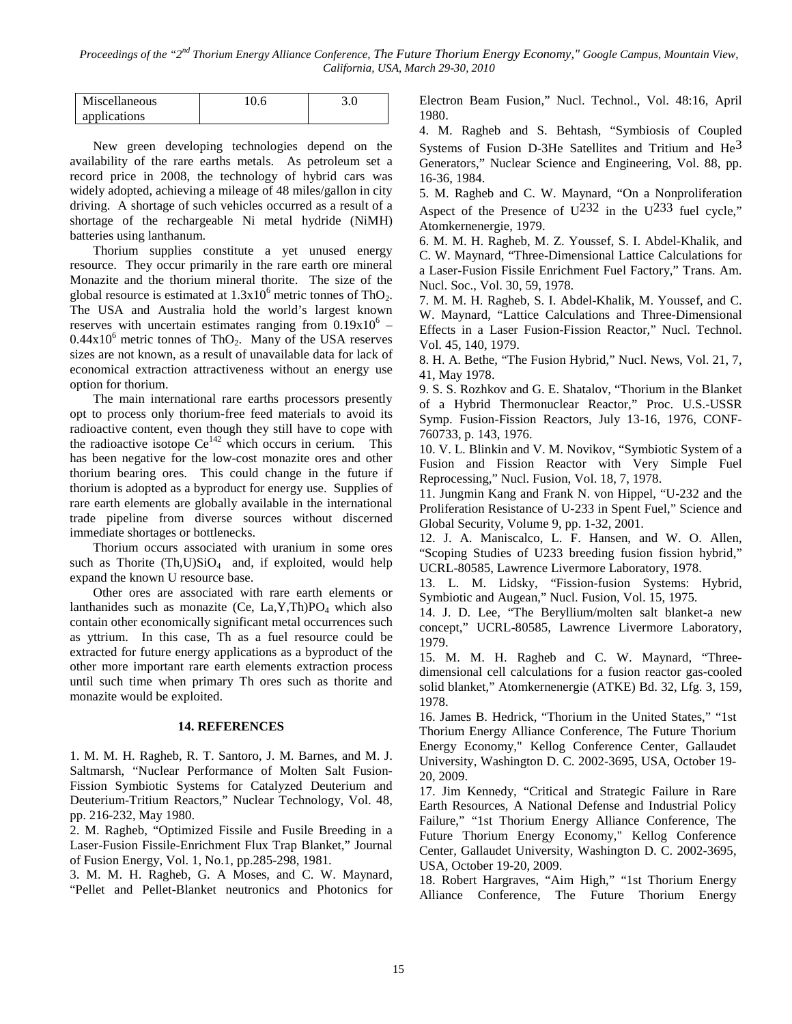| Miscellaneous |  |
|---------------|--|
| applications  |  |

New green developing technologies depend on the availability of the rare earths metals. As petroleum set a record price in 2008, the technology of hybrid cars was widely adopted, achieving a mileage of 48 miles/gallon in city driving. A shortage of such vehicles occurred as a result of a shortage of the rechargeable Ni metal hydride (NiMH) batteries using lanthanum.

Thorium supplies constitute a yet unused energy resource. They occur primarily in the rare earth ore mineral Monazite and the thorium mineral thorite. The size of the global resource is estimated at  $1.3x10^6$  metric tonnes of ThO<sub>2</sub>. The USA and Australia hold the world's largest known reserves with uncertain estimates ranging from  $0.19x10^{6}$  –  $0.44x10^6$  metric tonnes of ThO<sub>2</sub>. Many of the USA reserves sizes are not known, as a result of unavailable data for lack of economical extraction attractiveness without an energy use option for thorium.

The main international rare earths processors presently opt to process only thorium-free feed materials to avoid its radioactive content, even though they still have to cope with the radioactive isotope  $Ce^{142}$  which occurs in cerium. This has been negative for the low-cost monazite ores and other thorium bearing ores. This could change in the future if thorium is adopted as a byproduct for energy use. Supplies of rare earth elements are globally available in the international trade pipeline from diverse sources without discerned immediate shortages or bottlenecks.

Thorium occurs associated with uranium in some ores such as Thorite  $(Th, U)SiO<sub>4</sub>$  and, if exploited, would help expand the known U resource base.

Other ores are associated with rare earth elements or lanthanides such as monazite (Ce,  $La, Y, Th)PO<sub>4</sub>$  which also contain other economically significant metal occurrences such as yttrium. In this case, Th as a fuel resource could be extracted for future energy applications as a byproduct of the other more important rare earth elements extraction process until such time when primary Th ores such as thorite and monazite would be exploited.

## **14. REFERENCES**

1. M. M. H. Ragheb, R. T. Santoro, J. M. Barnes, and M. J. Saltmarsh, "Nuclear Performance of Molten Salt Fusion-Fission Symbiotic Systems for Catalyzed Deuterium and Deuterium-Tritium Reactors," Nuclear Technology, Vol. 48, pp. 216-232, May 1980.

2. M. Ragheb, "Optimized Fissile and Fusile Breeding in a Laser-Fusion Fissile-Enrichment Flux Trap Blanket," Journal of Fusion Energy, Vol. 1, No.1, pp.285-298, 1981.

3. M. M. H. Ragheb, G. A Moses, and C. W. Maynard, "Pellet and Pellet-Blanket neutronics and Photonics for Electron Beam Fusion," Nucl. Technol., Vol. 48:16, April 1980.

4. M. Ragheb and S. Behtash, "Symbiosis of Coupled Systems of Fusion D-3He Satellites and Tritium and  $He<sup>3</sup>$ Generators," Nuclear Science and Engineering, Vol. 88, pp. 16-36, 1984.

5. M. Ragheb and C. W. Maynard, "On a Nonproliferation Aspect of the Presence of  $U^{232}$  in the  $U^{233}$  fuel cycle," Atomkernenergie, 1979.

6. M. M. H. Ragheb, M. Z. Youssef, S. I. Abdel-Khalik, and C. W. Maynard, "Three-Dimensional Lattice Calculations for a Laser-Fusion Fissile Enrichment Fuel Factory," Trans. Am. Nucl. Soc., Vol. 30, 59, 1978.

7. M. M. H. Ragheb, S. I. Abdel-Khalik, M. Youssef, and C. W. Maynard, "Lattice Calculations and Three-Dimensional Effects in a Laser Fusion-Fission Reactor," Nucl. Technol. Vol. 45, 140, 1979.

8. H. A. Bethe, "The Fusion Hybrid," Nucl. News, Vol. 21, 7, 41, May 1978.

9. S. S. Rozhkov and G. E. Shatalov, "Thorium in the Blanket of a Hybrid Thermonuclear Reactor," Proc. U.S.-USSR Symp. Fusion-Fission Reactors, July 13-16, 1976, CONF-760733, p. 143, 1976.

10. V. L. Blinkin and V. M. Novikov, "Symbiotic System of a Fusion and Fission Reactor with Very Simple Fuel Reprocessing," Nucl. Fusion, Vol. 18, 7, 1978.

11. Jungmin Kang and Frank N. von Hippel, "U-232 and the Proliferation Resistance of U-233 in Spent Fuel," Science and Global Security, Volume 9, pp. 1-32, 2001.

12. J. A. Maniscalco, L. F. Hansen, and W. O. Allen, "Scoping Studies of U233 breeding fusion fission hybrid," UCRL-80585, Lawrence Livermore Laboratory, 1978.

13. L. M. Lidsky, "Fission-fusion Systems: Hybrid, Symbiotic and Augean," Nucl. Fusion, Vol. 15, 1975.

14. J. D. Lee, "The Beryllium/molten salt blanket-a new concept," UCRL-80585, Lawrence Livermore Laboratory, 1979.

15. M. M. H. Ragheb and C. W. Maynard, "Threedimensional cell calculations for a fusion reactor gas-cooled solid blanket," Atomkernenergie (ATKE) Bd. 32, Lfg. 3, 159, 1978.

16. James B. Hedrick, "Thorium in the United States," "1st Thorium Energy Alliance Conference, The Future Thorium Energy Economy," Kellog Conference Center, Gallaudet University, Washington D. C. 2002-3695, USA, October 19- 20, 2009.

17. Jim Kennedy, "Critical and Strategic Failure in Rare Earth Resources, A National Defense and Industrial Policy Failure," "1st Thorium Energy Alliance Conference, The Future Thorium Energy Economy," Kellog Conference Center, Gallaudet University, Washington D. C. 2002-3695, USA, October 19-20, 2009.

18. Robert Hargraves, "Aim High," "1st Thorium Energy Alliance Conference, The Future Thorium Energy